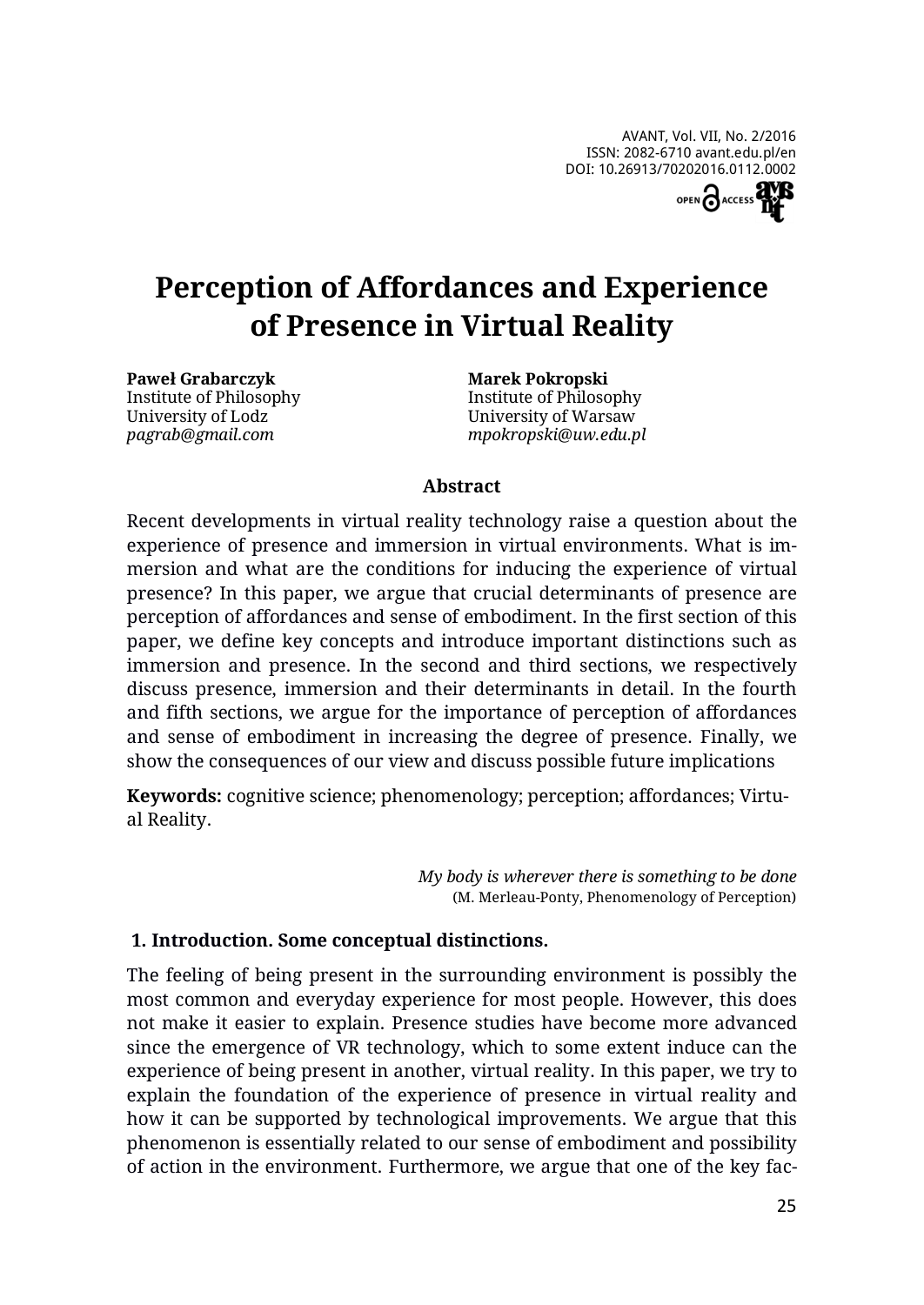

# **Perception of Affordances and Experience of Presence in Virtual Reality**

**Paweł Grabarczyk** Institute of Philosophy University of Lodz *pagrab@gmail.com*

**Marek Pokropski** Institute of Philosophy University of Warsaw *mpokropski@uw.edu.pl*

#### **Abstract**

Recent developments in virtual reality technology raise a question about the experience of presence and immersion in virtual environments. What is immersion and what are the conditions for inducing the experience of virtual presence? In this paper, we argue that crucial determinants of presence are perception of affordances and sense of embodiment. In the first section of this paper, we define key concepts and introduce important distinctions such as immersion and presence. In the second and third sections, we respectively discuss presence, immersion and their determinants in detail. In the fourth and fifth sections, we argue for the importance of perception of affordances and sense of embodiment in increasing the degree of presence. Finally, we show the consequences of our view and discuss possible future implications

**Keywords:** cognitive science; phenomenology; perception; affordances; Virtual Reality.

> *My body is wherever there is something to be done* (M. Merleau-Ponty, Phenomenology of Perception)

#### **1. Introduction. Some conceptual distinctions.**

The feeling of being present in the surrounding environment is possibly the most common and everyday experience for most people. However, this does not make it easier to explain. Presence studies have become more advanced since the emergence of VR technology, which to some extent induce can the experience of being present in another, virtual reality. In this paper, we try to explain the foundation of the experience of presence in virtual reality and how it can be supported by technological improvements. We argue that this phenomenon is essentially related to our sense of embodiment and possibility of action in the environment. Furthermore, we argue that one of the key fac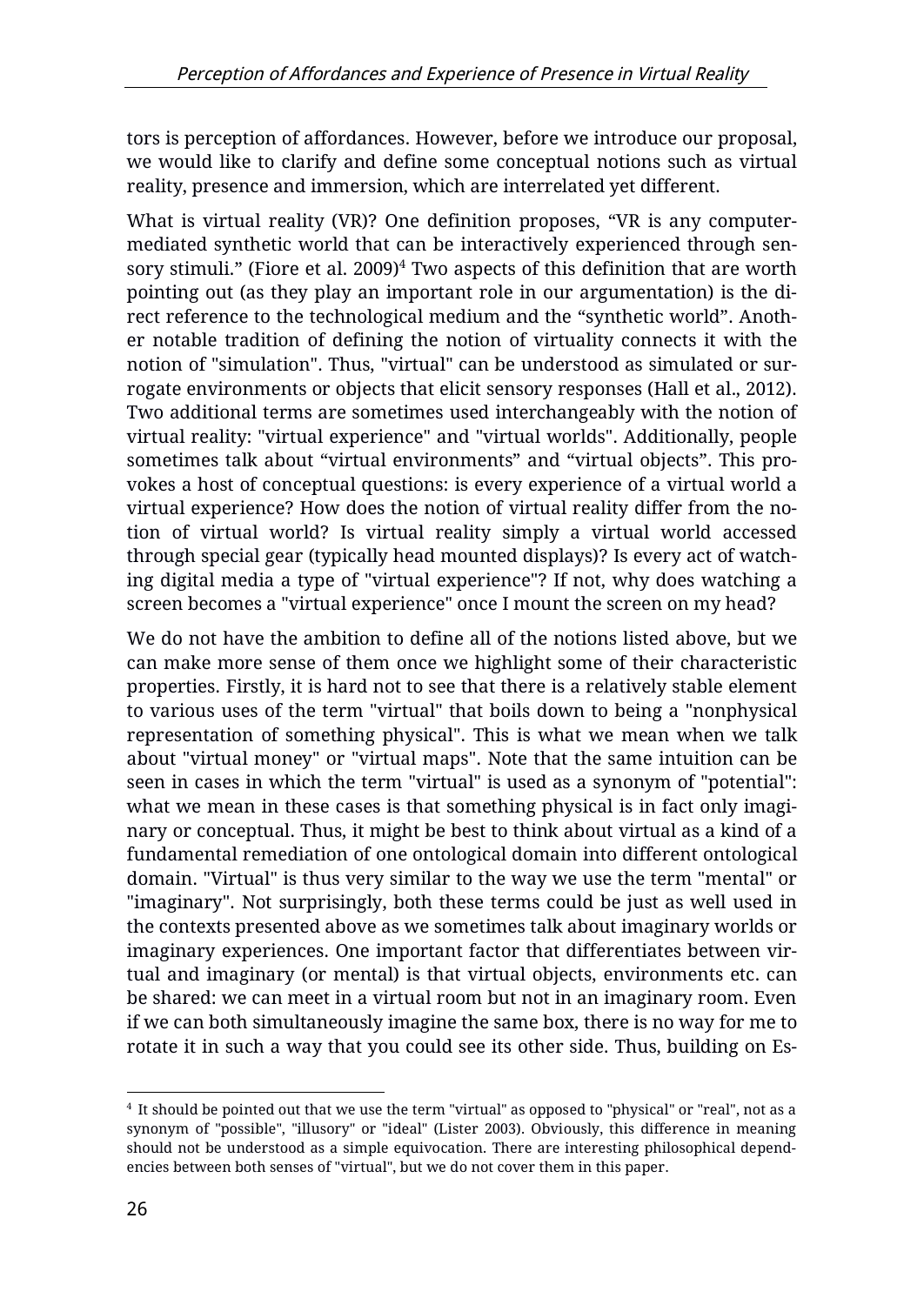tors is perception of affordances. However, before we introduce our proposal, we would like to clarify and define some conceptual notions such as virtual reality, presence and immersion, which are interrelated yet different.

What is virtual reality (VR)? One definition proposes, "VR is any computermediated synthetic world that can be interactively experienced through sensory stimuli." (Fiore et al. 2009) $4$  Two aspects of this definition that are worth pointing out (as they play an important role in our argumentation) is the direct reference to the technological medium and the "synthetic world". Another notable tradition of defining the notion of virtuality connects it with the notion of "simulation". Thus, "virtual" can be understood as simulated or surrogate environments or objects that elicit sensory responses (Hall et al., 2012). Two additional terms are sometimes used interchangeably with the notion of virtual reality: "virtual experience" and "virtual worlds". Additionally, people sometimes talk about "virtual environments" and "virtual objects". This provokes a host of conceptual questions: is every experience of a virtual world a virtual experience? How does the notion of virtual reality differ from the notion of virtual world? Is virtual reality simply a virtual world accessed through special gear (typically head mounted displays)? Is every act of watching digital media a type of "virtual experience"? If not, why does watching a screen becomes a "virtual experience" once I mount the screen on my head?

We do not have the ambition to define all of the notions listed above, but we can make more sense of them once we highlight some of their characteristic properties. Firstly, it is hard not to see that there is a relatively stable element to various uses of the term "virtual" that boils down to being a "nonphysical representation of something physical". This is what we mean when we talk about "virtual money" or "virtual maps". Note that the same intuition can be seen in cases in which the term "virtual" is used as a synonym of "potential": what we mean in these cases is that something physical is in fact only imaginary or conceptual. Thus, it might be best to think about virtual as a kind of a fundamental remediation of one ontological domain into different ontological domain. "Virtual" is thus very similar to the way we use the term "mental" or "imaginary". Not surprisingly, both these terms could be just as well used in the contexts presented above as we sometimes talk about imaginary worlds or imaginary experiences. One important factor that differentiates between virtual and imaginary (or mental) is that virtual objects, environments etc. can be shared: we can meet in a virtual room but not in an imaginary room. Even if we can both simultaneously imagine the same box, there is no way for me to rotate it in such a way that you could see its other side. Thus, building on Es-

 $\overline{a}$  $^4$  It should be pointed out that we use the term "virtual" as opposed to "physical" or "real", not as a synonym of "possible", "illusory" or "ideal" (Lister 2003). Obviously, this difference in meaning should not be understood as a simple equivocation. There are interesting philosophical dependencies between both senses of "virtual", but we do not cover them in this paper.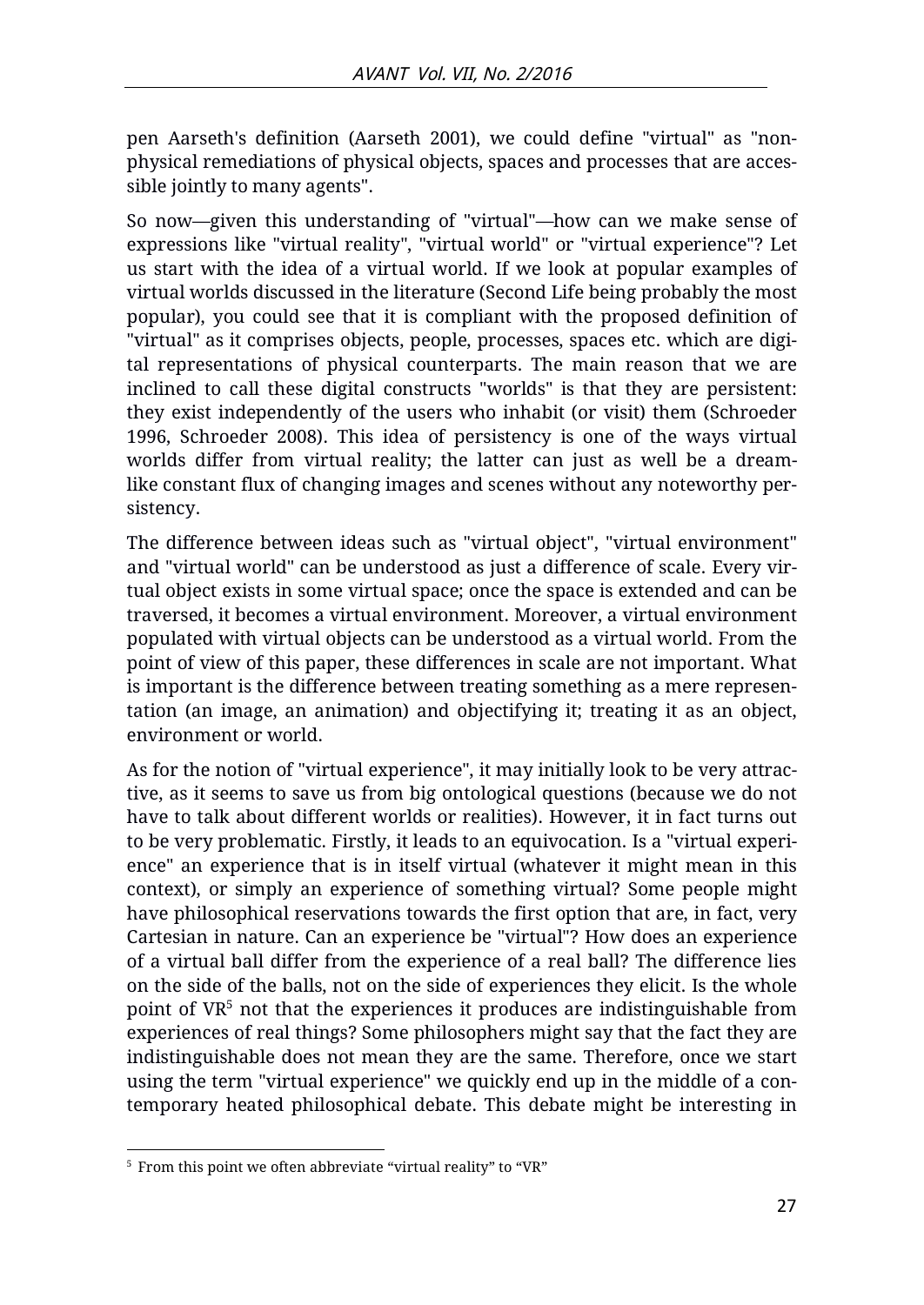pen Aarseth's definition (Aarseth 2001), we could define "virtual" as "nonphysical remediations of physical objects, spaces and processes that are accessible jointly to many agents".

So now—given this understanding of "virtual"—how can we make sense of expressions like "virtual reality", "virtual world" or "virtual experience"? Let us start with the idea of a virtual world. If we look at popular examples of virtual worlds discussed in the literature (Second Life being probably the most popular), you could see that it is compliant with the proposed definition of "virtual" as it comprises objects, people, processes, spaces etc. which are digital representations of physical counterparts. The main reason that we are inclined to call these digital constructs "worlds" is that they are persistent: they exist independently of the users who inhabit (or visit) them (Schroeder 1996, Schroeder 2008). This idea of persistency is one of the ways virtual worlds differ from virtual reality; the latter can just as well be a dreamlike constant flux of changing images and scenes without any noteworthy persistency.

The difference between ideas such as "virtual object", "virtual environment" and "virtual world" can be understood as just a difference of scale. Every virtual object exists in some virtual space; once the space is extended and can be traversed, it becomes a virtual environment. Moreover, a virtual environment populated with virtual objects can be understood as a virtual world. From the point of view of this paper, these differences in scale are not important. What is important is the difference between treating something as a mere representation (an image, an animation) and objectifying it; treating it as an object, environment or world.

As for the notion of "virtual experience", it may initially look to be very attractive, as it seems to save us from big ontological questions (because we do not have to talk about different worlds or realities). However, it in fact turns out to be very problematic. Firstly, it leads to an equivocation. Is a "virtual experience" an experience that is in itself virtual (whatever it might mean in this context), or simply an experience of something virtual? Some people might have philosophical reservations towards the first option that are, in fact, very Cartesian in nature. Can an experience be "virtual"? How does an experience of a virtual ball differ from the experience of a real ball? The difference lies on the side of the balls, not on the side of experiences they elicit. Is the whole point of  $VR<sup>5</sup>$  not that the experiences it produces are indistinguishable from experiences of real things? Some philosophers might say that the fact they are indistinguishable does not mean they are the same. Therefore, once we start using the term "virtual experience" we quickly end up in the middle of a contemporary heated philosophical debate. This debate might be interesting in

 $\overline{a}$ <sup>5</sup> From this point we often abbreviate "virtual reality" to "VR"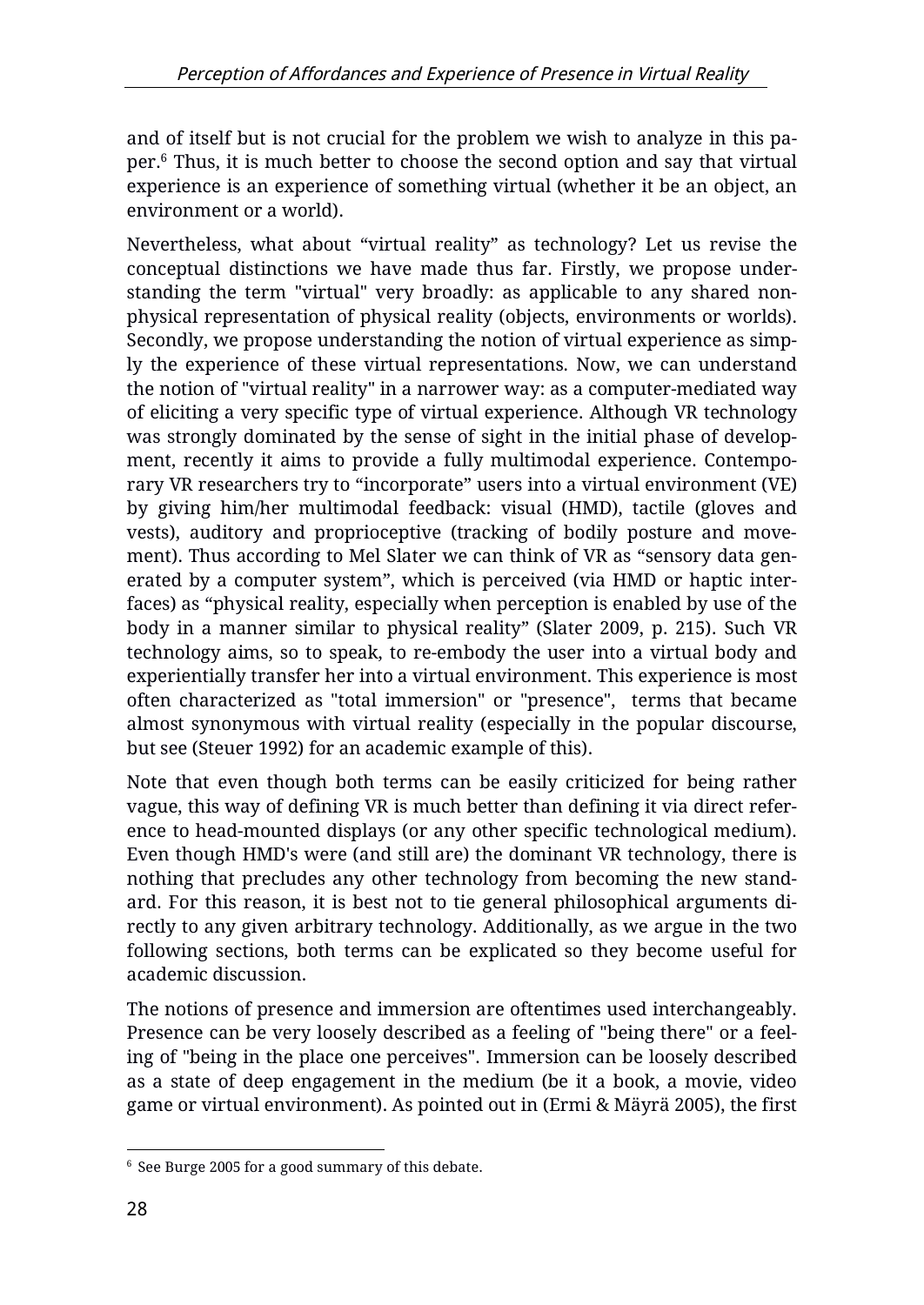and of itself but is not crucial for the problem we wish to analyze in this paper.<sup>6</sup> Thus, it is much better to choose the second option and say that virtual experience is an experience of something virtual (whether it be an object, an environment or a world).

Nevertheless, what about "virtual reality" as technology? Let us revise the conceptual distinctions we have made thus far. Firstly, we propose understanding the term "virtual" very broadly: as applicable to any shared nonphysical representation of physical reality (objects, environments or worlds). Secondly, we propose understanding the notion of virtual experience as simply the experience of these virtual representations. Now, we can understand the notion of "virtual reality" in a narrower way: as a computer-mediated way of eliciting a very specific type of virtual experience. Although VR technology was strongly dominated by the sense of sight in the initial phase of development, recently it aims to provide a fully multimodal experience. Contemporary VR researchers try to "incorporate" users into a virtual environment (VE) by giving him/her multimodal feedback: visual (HMD), tactile (gloves and vests), auditory and proprioceptive (tracking of bodily posture and movement). Thus according to Mel Slater we can think of VR as "sensory data generated by a computer system", which is perceived (via HMD or haptic interfaces) as "physical reality, especially when perception is enabled by use of the body in a manner similar to physical reality" (Slater 2009, p. 215). Such VR technology aims, so to speak, to re-embody the user into a virtual body and experientially transfer her into a virtual environment. This experience is most often characterized as "total immersion" or "presence", terms that became almost synonymous with virtual reality (especially in the popular discourse, but see (Steuer 1992) for an academic example of this).

Note that even though both terms can be easily criticized for being rather vague, this way of defining VR is much better than defining it via direct reference to head-mounted displays (or any other specific technological medium). Even though HMD's were (and still are) the dominant VR technology, there is nothing that precludes any other technology from becoming the new standard. For this reason, it is best not to tie general philosophical arguments directly to any given arbitrary technology. Additionally, as we argue in the two following sections, both terms can be explicated so they become useful for academic discussion.

The notions of presence and immersion are oftentimes used interchangeably. Presence can be very loosely described as a feeling of "being there" or a feeling of "being in the place one perceives". Immersion can be loosely described as a state of deep engagement in the medium (be it a book, a movie, video game or virtual environment). As pointed out in (Ermi & Mäyrä 2005), the first

 $\overline{a}$ <sup>6</sup> See Burge 2005 for a good summary of this debate.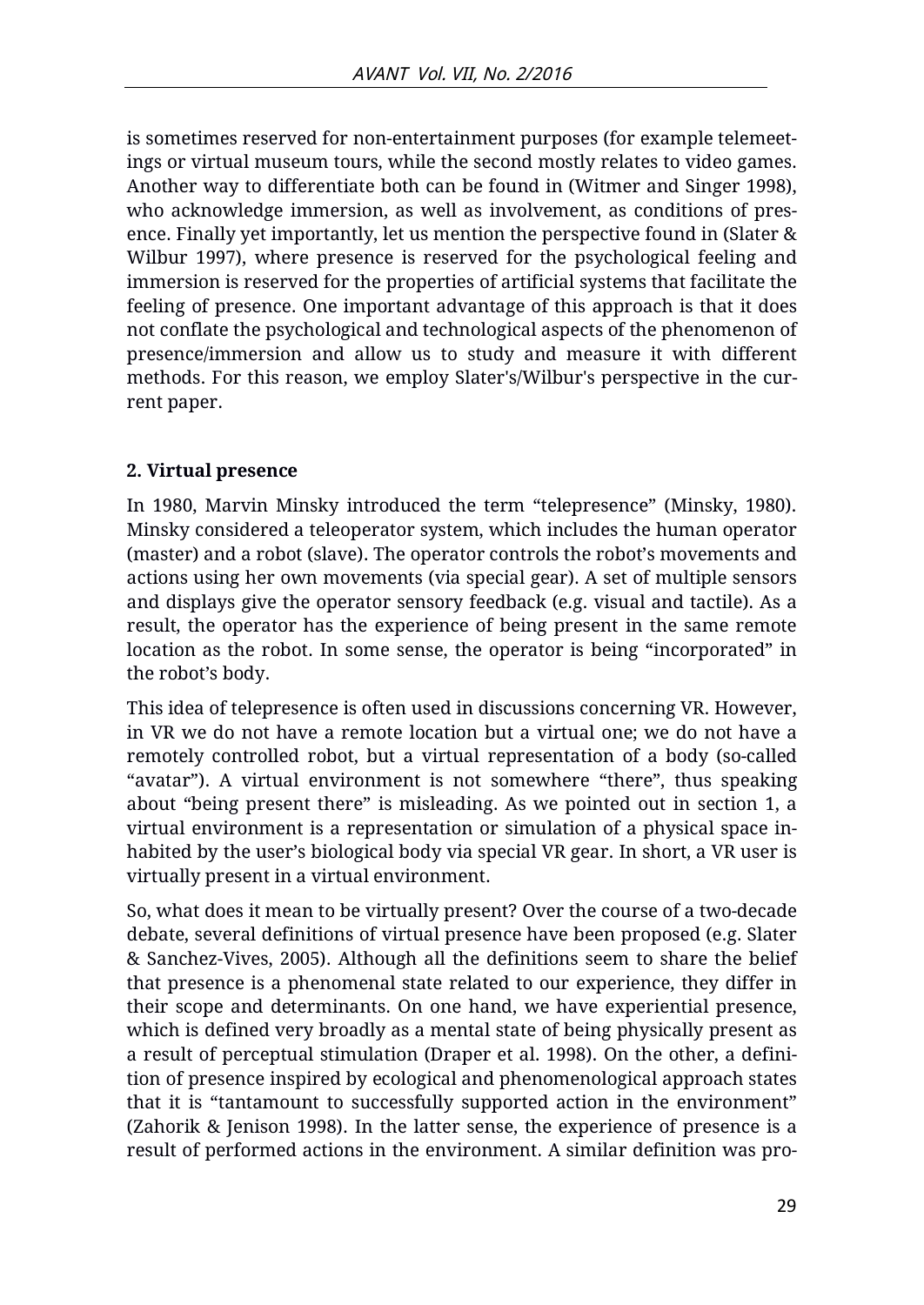is sometimes reserved for non-entertainment purposes (for example telemeetings or virtual museum tours, while the second mostly relates to video games. Another way to differentiate both can be found in (Witmer and Singer 1998), who acknowledge immersion, as well as involvement, as conditions of presence. Finally yet importantly, let us mention the perspective found in (Slater & Wilbur 1997), where presence is reserved for the psychological feeling and immersion is reserved for the properties of artificial systems that facilitate the feeling of presence. One important advantage of this approach is that it does not conflate the psychological and technological aspects of the phenomenon of presence/immersion and allow us to study and measure it with different methods. For this reason, we employ Slater's/Wilbur's perspective in the current paper.

### **2. Virtual presence**

In 1980, Marvin Minsky introduced the term "telepresence" (Minsky, 1980). Minsky considered a teleoperator system, which includes the human operator (master) and a robot (slave). The operator controls the robot's movements and actions using her own movements (via special gear). A set of multiple sensors and displays give the operator sensory feedback (e.g. visual and tactile). As a result, the operator has the experience of being present in the same remote location as the robot. In some sense, the operator is being "incorporated" in the robot's body.

This idea of telepresence is often used in discussions concerning VR. However, in VR we do not have a remote location but a virtual one; we do not have a remotely controlled robot, but a virtual representation of a body (so-called "avatar"). A virtual environment is not somewhere "there", thus speaking about "being present there" is misleading. As we pointed out in section 1, a virtual environment is a representation or simulation of a physical space inhabited by the user's biological body via special VR gear. In short, a VR user is virtually present in a virtual environment.

So, what does it mean to be virtually present? Over the course of a two-decade debate, several definitions of virtual presence have been proposed (e.g. Slater & Sanchez-Vives, 2005). Although all the definitions seem to share the belief that presence is a phenomenal state related to our experience, they differ in their scope and determinants. On one hand, we have experiential presence, which is defined very broadly as a mental state of being physically present as a result of perceptual stimulation (Draper et al. 1998). On the other, a definition of presence inspired by ecological and phenomenological approach states that it is "tantamount to successfully supported action in the environment" (Zahorik & Jenison 1998). In the latter sense, the experience of presence is a result of performed actions in the environment. A similar definition was pro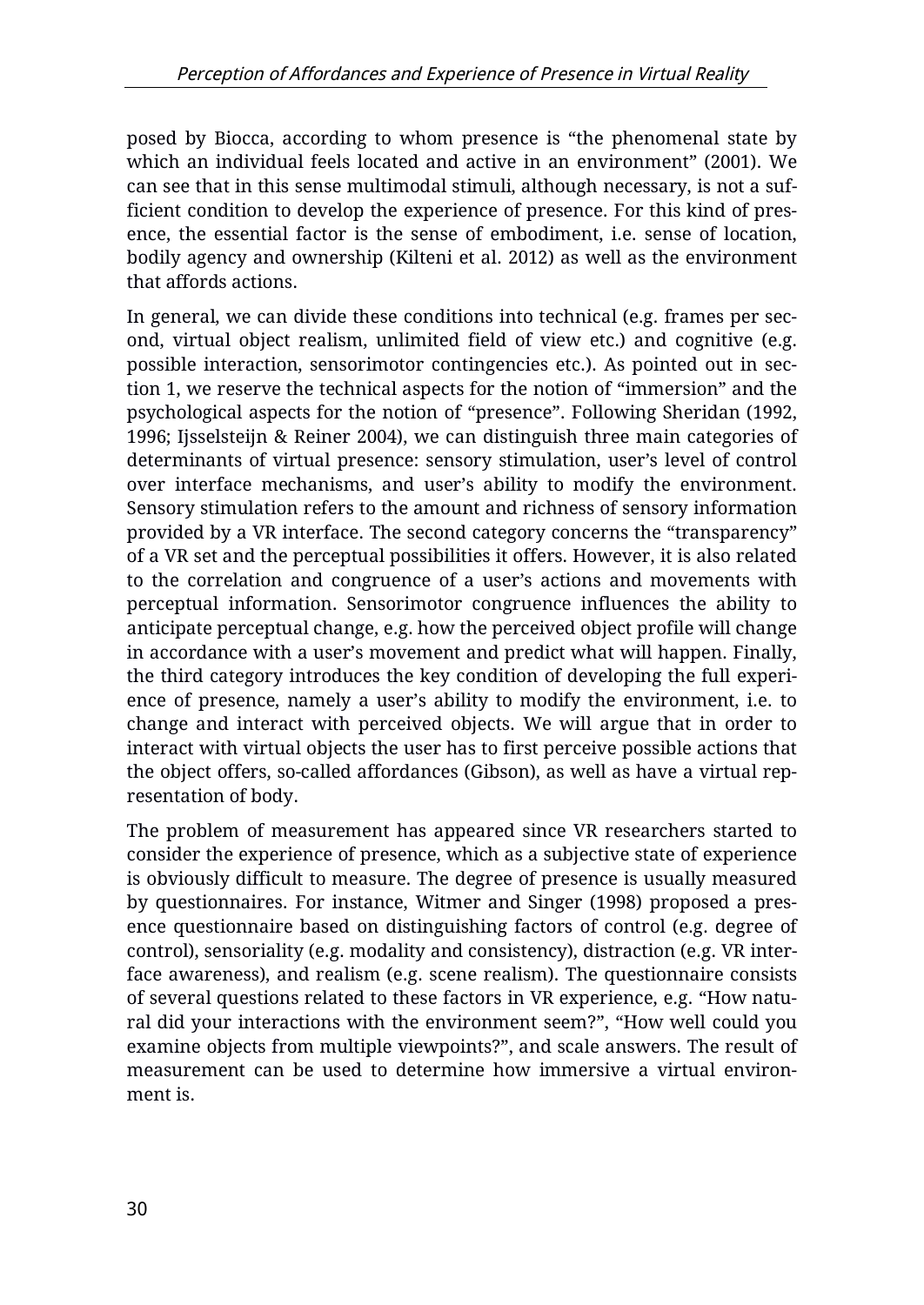posed by Biocca, according to whom presence is "the phenomenal state by which an individual feels located and active in an environment" (2001). We can see that in this sense multimodal stimuli, although necessary, is not a sufficient condition to develop the experience of presence. For this kind of presence, the essential factor is the sense of embodiment, i.e. sense of location, bodily agency and ownership (Kilteni et al. 2012) as well as the environment that affords actions.

In general, we can divide these conditions into technical (e.g. frames per second, virtual object realism, unlimited field of view etc.) and cognitive (e.g. possible interaction, sensorimotor contingencies etc.). As pointed out in section 1, we reserve the technical aspects for the notion of "immersion" and the psychological aspects for the notion of "presence". Following Sheridan (1992, 1996; Ijsselsteijn & Reiner 2004), we can distinguish three main categories of determinants of virtual presence: sensory stimulation, user's level of control over interface mechanisms, and user's ability to modify the environment. Sensory stimulation refers to the amount and richness of sensory information provided by a VR interface. The second category concerns the "transparency" of a VR set and the perceptual possibilities it offers. However, it is also related to the correlation and congruence of a user's actions and movements with perceptual information. Sensorimotor congruence influences the ability to anticipate perceptual change, e.g. how the perceived object profile will change in accordance with a user's movement and predict what will happen. Finally, the third category introduces the key condition of developing the full experience of presence, namely a user's ability to modify the environment, i.e. to change and interact with perceived objects. We will argue that in order to interact with virtual objects the user has to first perceive possible actions that the object offers, so-called affordances (Gibson), as well as have a virtual representation of body.

The problem of measurement has appeared since VR researchers started to consider the experience of presence, which as a subjective state of experience is obviously difficult to measure. The degree of presence is usually measured by questionnaires. For instance, Witmer and Singer (1998) proposed a presence questionnaire based on distinguishing factors of control (e.g. degree of control), sensoriality (e.g. modality and consistency), distraction (e.g. VR interface awareness), and realism (e.g. scene realism). The questionnaire consists of several questions related to these factors in VR experience, e.g. "How natural did your interactions with the environment seem?", "How well could you examine objects from multiple viewpoints?", and scale answers. The result of measurement can be used to determine how immersive a virtual environment is.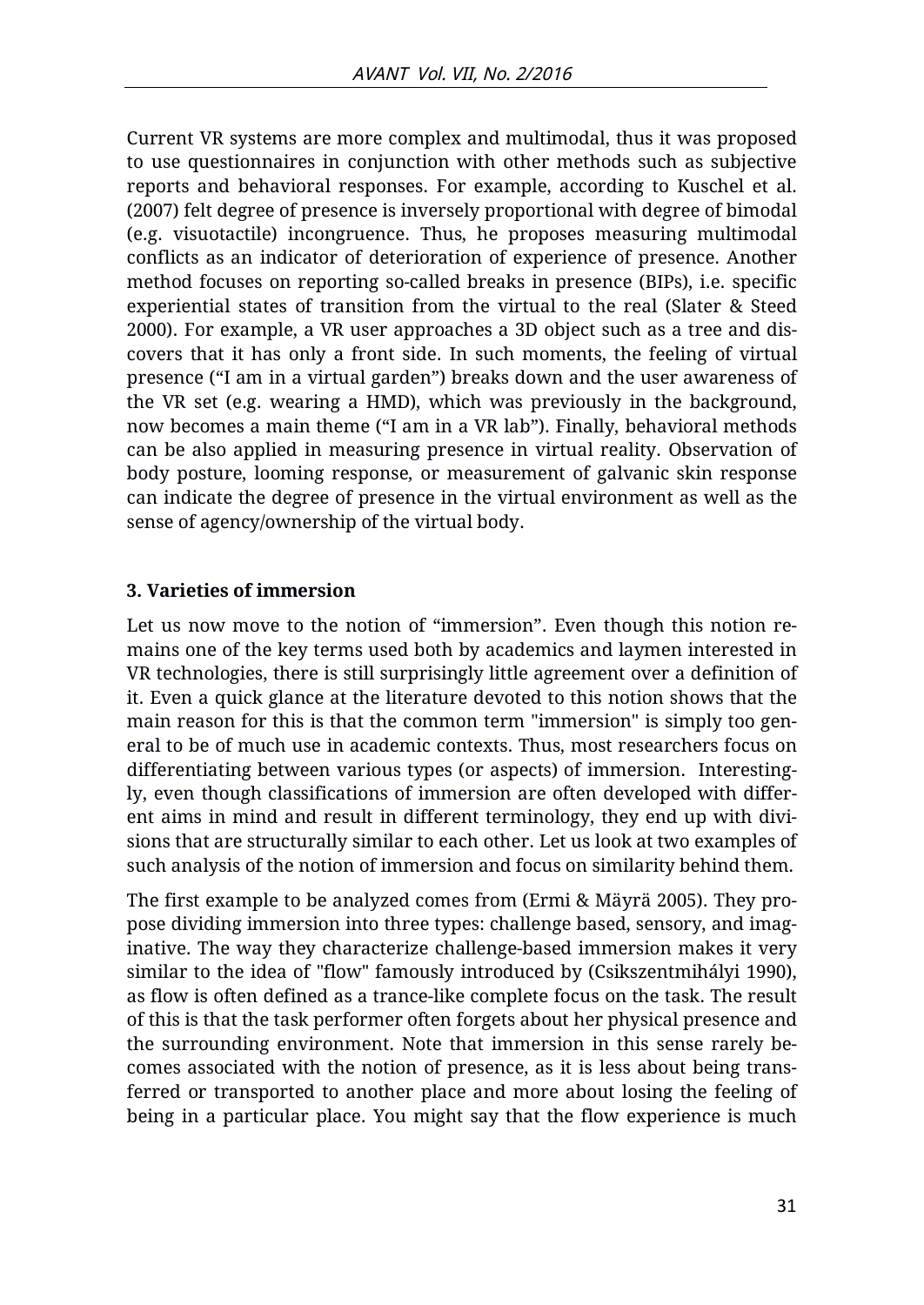Current VR systems are more complex and multimodal, thus it was proposed to use questionnaires in conjunction with other methods such as subjective reports and behavioral responses. For example, according to Kuschel et al. (2007) felt degree of presence is inversely proportional with degree of bimodal (e.g. visuotactile) incongruence. Thus, he proposes measuring multimodal conflicts as an indicator of deterioration of experience of presence. Another method focuses on reporting so-called breaks in presence (BIPs), i.e. specific experiential states of transition from the virtual to the real (Slater & Steed 2000). For example, a VR user approaches a 3D object such as a tree and discovers that it has only a front side. In such moments, the feeling of virtual presence ("I am in a virtual garden") breaks down and the user awareness of the VR set (e.g. wearing a HMD), which was previously in the background, now becomes a main theme ("I am in a VR lab"). Finally, behavioral methods can be also applied in measuring presence in virtual reality. Observation of body posture, looming response, or measurement of galvanic skin response can indicate the degree of presence in the virtual environment as well as the sense of agency/ownership of the virtual body.

#### **3. Varieties of immersion**

Let us now move to the notion of "immersion". Even though this notion remains one of the key terms used both by academics and laymen interested in VR technologies, there is still surprisingly little agreement over a definition of it. Even a quick glance at the literature devoted to this notion shows that the main reason for this is that the common term "immersion" is simply too general to be of much use in academic contexts. Thus, most researchers focus on differentiating between various types (or aspects) of immersion. Interestingly, even though classifications of immersion are often developed with different aims in mind and result in different terminology, they end up with divisions that are structurally similar to each other. Let us look at two examples of such analysis of the notion of immersion and focus on similarity behind them.

The first example to be analyzed comes from (Ermi & Mäyrä 2005). They propose dividing immersion into three types: challenge based, sensory, and imaginative. The way they characterize challenge-based immersion makes it very similar to the idea of "flow" famously introduced by (Csikszentmihályi 1990), as flow is often defined as a trance-like complete focus on the task. The result of this is that the task performer often forgets about her physical presence and the surrounding environment. Note that immersion in this sense rarely becomes associated with the notion of presence, as it is less about being transferred or transported to another place and more about losing the feeling of being in a particular place. You might say that the flow experience is much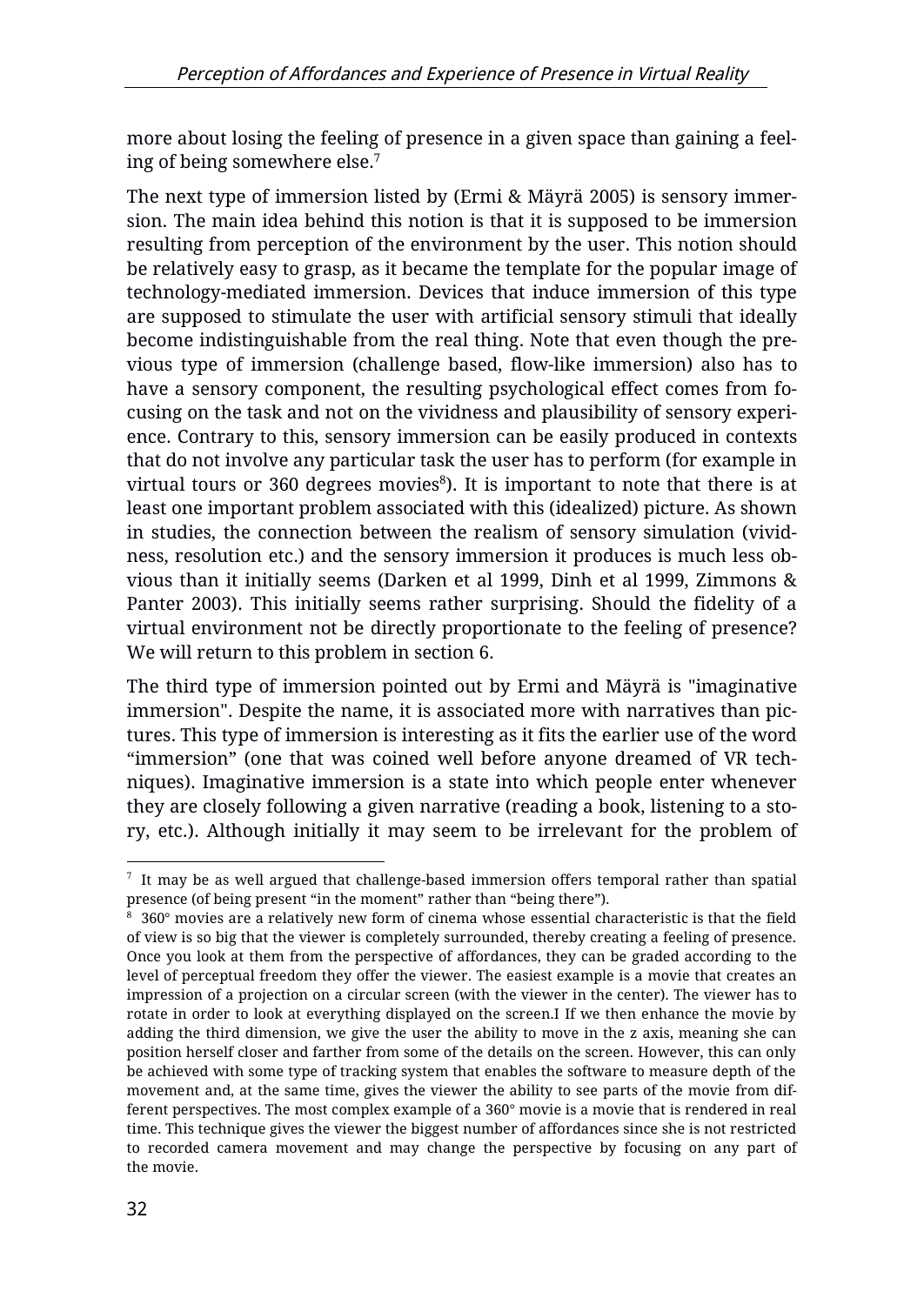more about losing the feeling of presence in a given space than gaining a feeling of being somewhere else.<sup>7</sup>

The next type of immersion listed by (Ermi & Mäyrä 2005) is sensory immersion. The main idea behind this notion is that it is supposed to be immersion resulting from perception of the environment by the user. This notion should be relatively easy to grasp, as it became the template for the popular image of technology-mediated immersion. Devices that induce immersion of this type are supposed to stimulate the user with artificial sensory stimuli that ideally become indistinguishable from the real thing. Note that even though the previous type of immersion (challenge based, flow-like immersion) also has to have a sensory component, the resulting psychological effect comes from focusing on the task and not on the vividness and plausibility of sensory experience. Contrary to this, sensory immersion can be easily produced in contexts that do not involve any particular task the user has to perform (for example in virtual tours or 360 degrees movies<sup>8</sup>). It is important to note that there is at least one important problem associated with this (idealized) picture. As shown in studies, the connection between the realism of sensory simulation (vividness, resolution etc.) and the sensory immersion it produces is much less obvious than it initially seems (Darken et al 1999, Dinh et al 1999, Zimmons & Panter 2003). This initially seems rather surprising. Should the fidelity of a virtual environment not be directly proportionate to the feeling of presence? We will return to this problem in section 6.

The third type of immersion pointed out by Ermi and Mäyrä is "imaginative immersion". Despite the name, it is associated more with narratives than pictures. This type of immersion is interesting as it fits the earlier use of the word "immersion" (one that was coined well before anyone dreamed of VR techniques). Imaginative immersion is a state into which people enter whenever they are closely following a given narrative (reading a book, listening to a story, etc.). Although initially it may seem to be irrelevant for the problem of

 $\overline{a}$  $^7\,$  It may be as well argued that challenge-based immersion offers temporal rather than spatial presence (of being present "in the moment" rather than "being there").

 $\,^8\,$  360° movies are a relatively new form of cinema whose essential characteristic is that the field of view is so big that the viewer is completely surrounded, thereby creating a feeling of presence. Once you look at them from the perspective of affordances, they can be graded according to the level of perceptual freedom they offer the viewer. The easiest example is a movie that creates an impression of a projection on a circular screen (with the viewer in the center). The viewer has to rotate in order to look at everything displayed on the screen.I If we then enhance the movie by adding the third dimension, we give the user the ability to move in the z axis, meaning she can position herself closer and farther from some of the details on the screen. However, this can only be achieved with some type of tracking system that enables the software to measure depth of the movement and, at the same time, gives the viewer the ability to see parts of the movie from different perspectives. The most complex example of a 360° movie is a movie that is rendered in real time. This technique gives the viewer the biggest number of affordances since she is not restricted to recorded camera movement and may change the perspective by focusing on any part of the movie.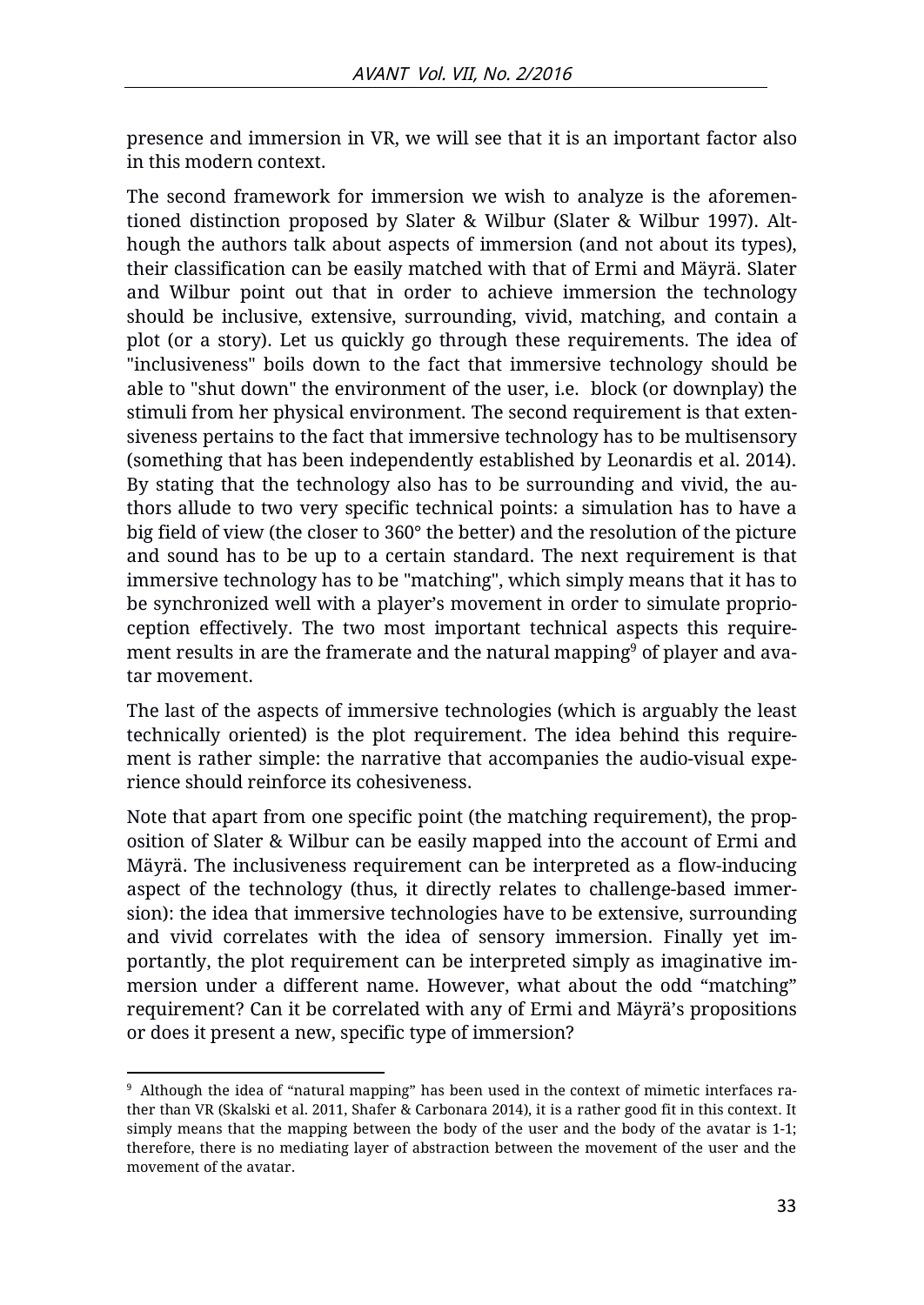presence and immersion in VR, we will see that it is an important factor also in this modern context.

The second framework for immersion we wish to analyze is the aforementioned distinction proposed by Slater & Wilbur (Slater & Wilbur 1997). Although the authors talk about aspects of immersion (and not about its types), their classification can be easily matched with that of Ermi and Mäyrä. Slater and Wilbur point out that in order to achieve immersion the technology should be inclusive, extensive, surrounding, vivid, matching, and contain a plot (or a story). Let us quickly go through these requirements. The idea of "inclusiveness" boils down to the fact that immersive technology should be able to "shut down" the environment of the user, i.e. block (or downplay) the stimuli from her physical environment. The second requirement is that extensiveness pertains to the fact that immersive technology has to be multisensory (something that has been independently established by Leonardis et al. 2014). By stating that the technology also has to be surrounding and vivid, the authors allude to two very specific technical points: a simulation has to have a big field of view (the closer to 360° the better) and the resolution of the picture and sound has to be up to a certain standard. The next requirement is that immersive technology has to be "matching", which simply means that it has to be synchronized well with a player's movement in order to simulate proprioception effectively. The two most important technical aspects this requirement results in are the framerate and the natural mapping<sup>9</sup> of player and avatar movement.

The last of the aspects of immersive technologies (which is arguably the least technically oriented) is the plot requirement. The idea behind this requirement is rather simple: the narrative that accompanies the audio-visual experience should reinforce its cohesiveness.

Note that apart from one specific point (the matching requirement), the proposition of Slater & Wilbur can be easily mapped into the account of Ermi and Mäyrä. The inclusiveness requirement can be interpreted as a flow-inducing aspect of the technology (thus, it directly relates to challenge-based immersion): the idea that immersive technologies have to be extensive, surrounding and vivid correlates with the idea of sensory immersion. Finally yet importantly, the plot requirement can be interpreted simply as imaginative immersion under a different name. However, what about the odd "matching" requirement? Can it be correlated with any of Ermi and Mäyrä's propositions or does it present a new, specific type of immersion?

 $\overline{a}$ <sup>9</sup> Although the idea of "natural mapping" has been used in the context of mimetic interfaces rather than VR (Skalski et al. 2011, Shafer & Carbonara 2014), it is a rather good fit in this context. It simply means that the mapping between the body of the user and the body of the avatar is 1-1; therefore, there is no mediating layer of abstraction between the movement of the user and the movement of the avatar.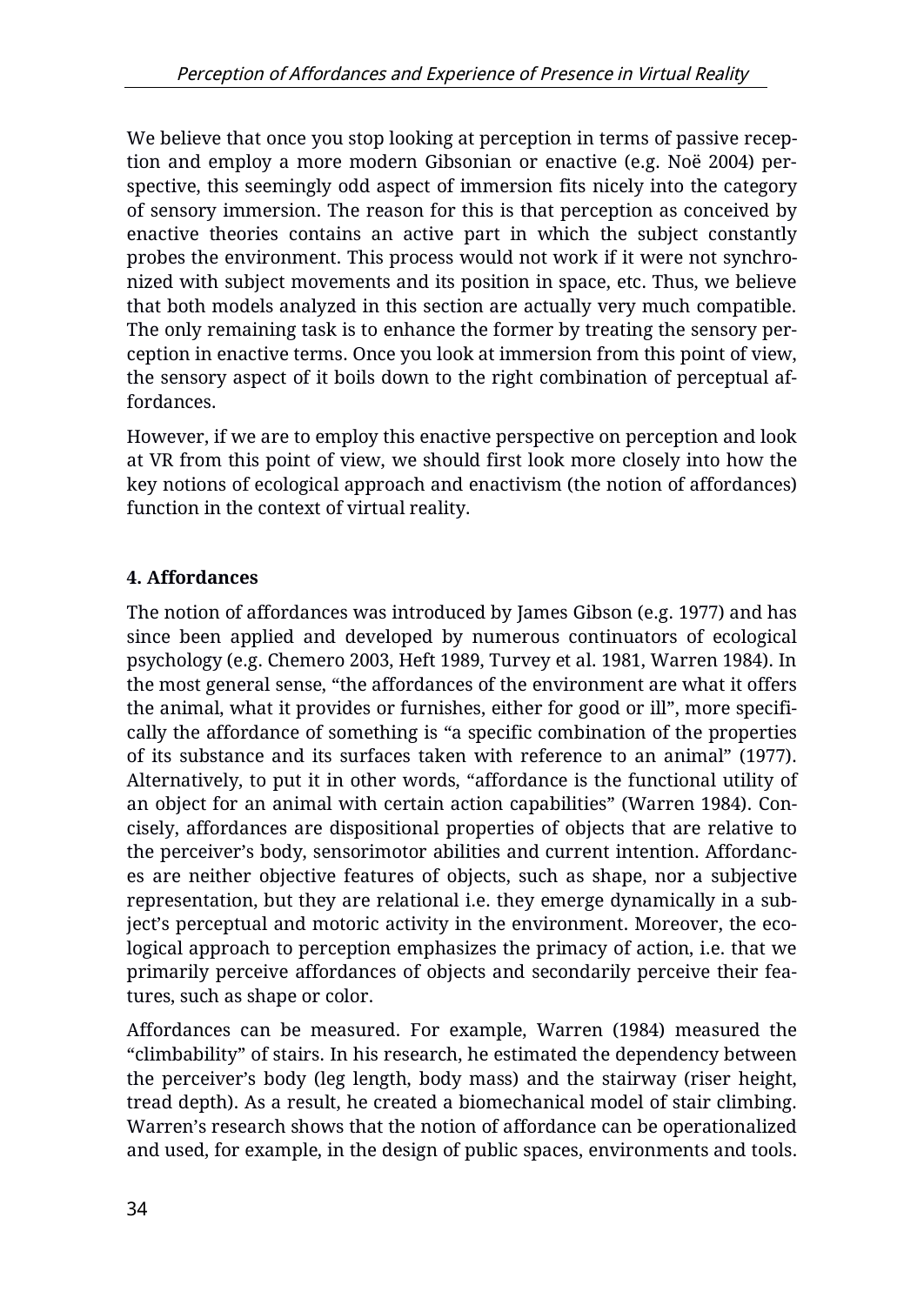We believe that once you stop looking at perception in terms of passive reception and employ a more modern Gibsonian or enactive (e.g. Noë 2004) perspective, this seemingly odd aspect of immersion fits nicely into the category of sensory immersion. The reason for this is that perception as conceived by enactive theories contains an active part in which the subject constantly probes the environment. This process would not work if it were not synchronized with subject movements and its position in space, etc. Thus, we believe that both models analyzed in this section are actually very much compatible. The only remaining task is to enhance the former by treating the sensory perception in enactive terms. Once you look at immersion from this point of view, the sensory aspect of it boils down to the right combination of perceptual affordances.

However, if we are to employ this enactive perspective on perception and look at VR from this point of view, we should first look more closely into how the key notions of ecological approach and enactivism (the notion of affordances) function in the context of virtual reality.

# **4. Affordances**

The notion of affordances was introduced by James Gibson (e.g. 1977) and has since been applied and developed by numerous continuators of ecological psychology (e.g. Chemero 2003, Heft 1989, Turvey et al. 1981, Warren 1984). In the most general sense, "the affordances of the environment are what it offers the animal, what it provides or furnishes, either for good or ill", more specifically the affordance of something is "a specific combination of the properties of its substance and its surfaces taken with reference to an animal" (1977). Alternatively, to put it in other words, "affordance is the functional utility of an object for an animal with certain action capabilities" (Warren 1984). Concisely, affordances are dispositional properties of objects that are relative to the perceiver's body, sensorimotor abilities and current intention. Affordances are neither objective features of objects, such as shape, nor a subjective representation, but they are relational i.e. they emerge dynamically in a subject's perceptual and motoric activity in the environment. Moreover, the ecological approach to perception emphasizes the primacy of action, i.e. that we primarily perceive affordances of objects and secondarily perceive their features, such as shape or color.

Affordances can be measured. For example, Warren (1984) measured the "climbability" of stairs. In his research, he estimated the dependency between the perceiver's body (leg length, body mass) and the stairway (riser height, tread depth). As a result, he created a biomechanical model of stair climbing. Warren's research shows that the notion of affordance can be operationalized and used, for example, in the design of public spaces, environments and tools.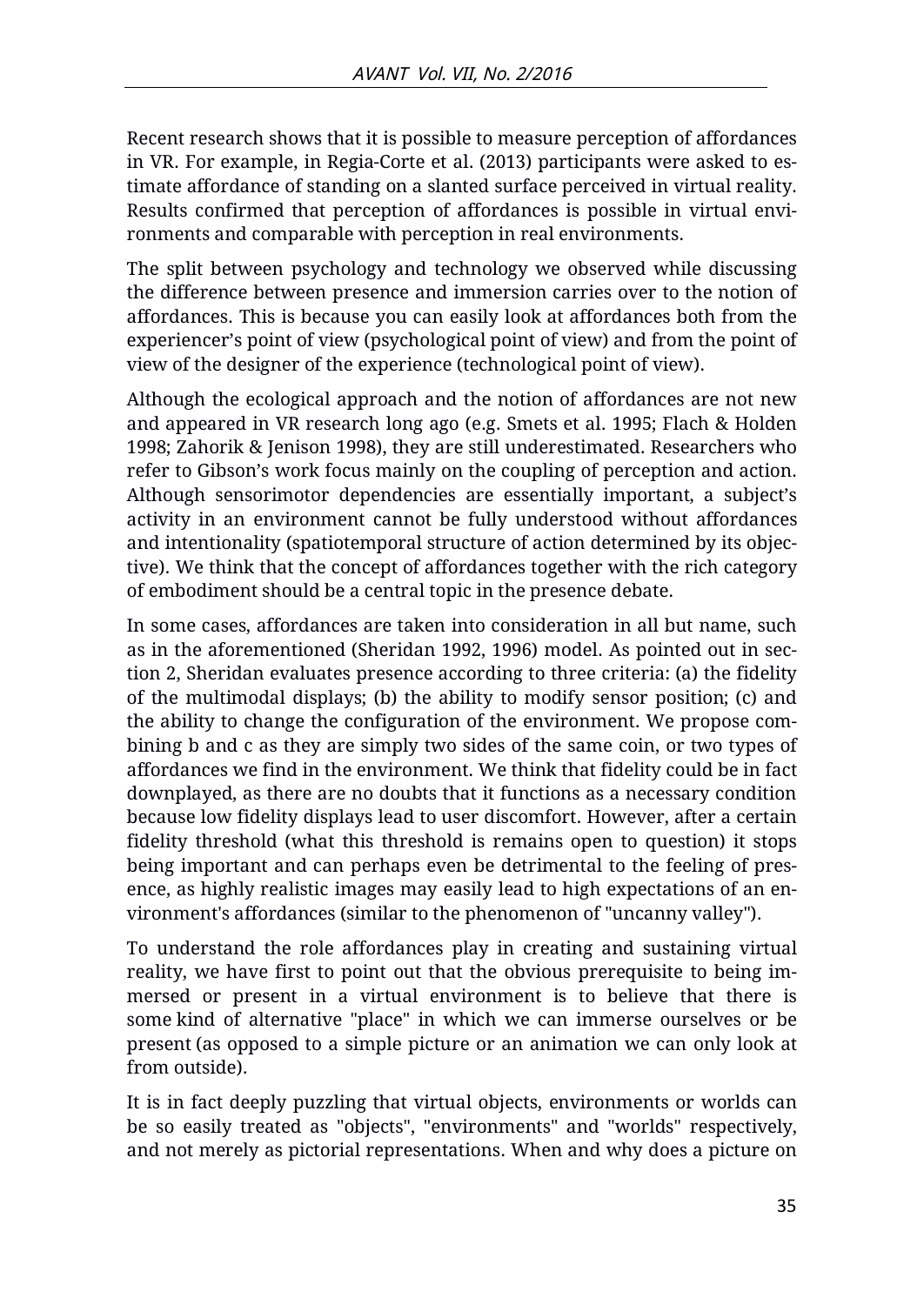Recent research shows that it is possible to measure perception of affordances in VR. For example, in Regia-Corte et al. (2013) participants were asked to estimate affordance of standing on a slanted surface perceived in virtual reality. Results confirmed that perception of affordances is possible in virtual environments and comparable with perception in real environments.

The split between psychology and technology we observed while discussing the difference between presence and immersion carries over to the notion of affordances. This is because you can easily look at affordances both from the experiencer's point of view (psychological point of view) and from the point of view of the designer of the experience (technological point of view).

Although the ecological approach and the notion of affordances are not new and appeared in VR research long ago (e.g. Smets et al. 1995; Flach & Holden 1998; Zahorik & Jenison 1998), they are still underestimated. Researchers who refer to Gibson's work focus mainly on the coupling of perception and action. Although sensorimotor dependencies are essentially important, a subject's activity in an environment cannot be fully understood without affordances and intentionality (spatiotemporal structure of action determined by its objective). We think that the concept of affordances together with the rich category of embodiment should be a central topic in the presence debate.

In some cases, affordances are taken into consideration in all but name, such as in the aforementioned (Sheridan 1992, 1996) model. As pointed out in section 2, Sheridan evaluates presence according to three criteria: (a) the fidelity of the multimodal displays; (b) the ability to modify sensor position; (c) and the ability to change the configuration of the environment. We propose combining b and c as they are simply two sides of the same coin, or two types of affordances we find in the environment. We think that fidelity could be in fact downplayed, as there are no doubts that it functions as a necessary condition because low fidelity displays lead to user discomfort. However, after a certain fidelity threshold (what this threshold is remains open to question) it stops being important and can perhaps even be detrimental to the feeling of presence, as highly realistic images may easily lead to high expectations of an environment's affordances (similar to the phenomenon of "uncanny valley").

To understand the role affordances play in creating and sustaining virtual reality, we have first to point out that the obvious prerequisite to being immersed or present in a virtual environment is to believe that there is some kind of alternative "place" in which we can immerse ourselves or be present (as opposed to a simple picture or an animation we can only look at from outside).

It is in fact deeply puzzling that virtual objects, environments or worlds can be so easily treated as "objects", "environments" and "worlds" respectively, and not merely as pictorial representations. When and why does a picture on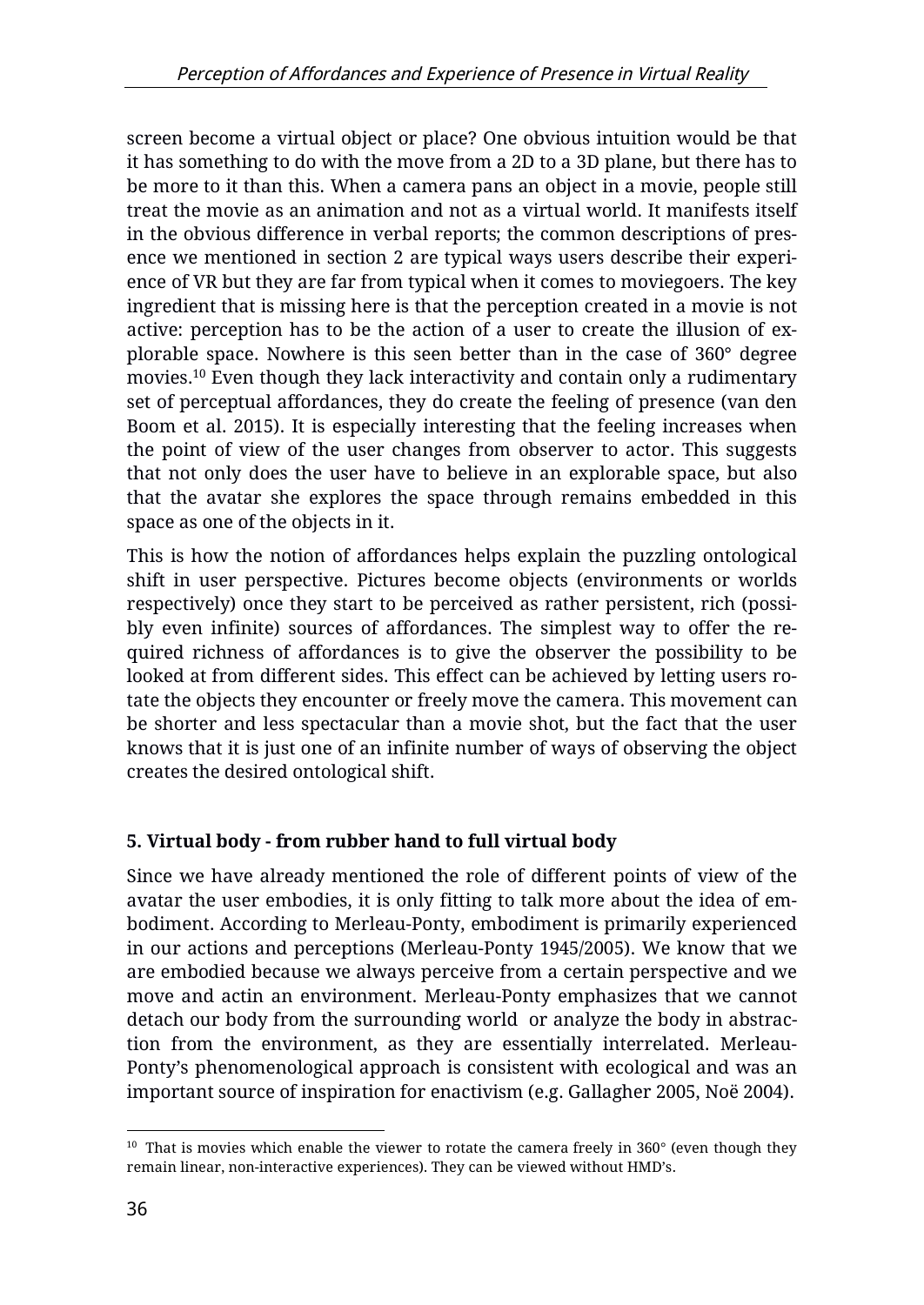screen become a virtual object or place? One obvious intuition would be that it has something to do with the move from a 2D to a 3D plane, but there has to be more to it than this. When a camera pans an object in a movie, people still treat the movie as an animation and not as a virtual world. It manifests itself in the obvious difference in verbal reports; the common descriptions of presence we mentioned in section 2 are typical ways users describe their experience of VR but they are far from typical when it comes to moviegoers. The key ingredient that is missing here is that the perception created in a movie is not active: perception has to be the action of a user to create the illusion of explorable space. Nowhere is this seen better than in the case of 360° degree movies.<sup>10</sup> Even though they lack interactivity and contain only a rudimentary set of perceptual affordances, they do create the feeling of presence (van den Boom et al. 2015). It is especially interesting that the feeling increases when the point of view of the user changes from observer to actor. This suggests that not only does the user have to believe in an explorable space, but also that the avatar she explores the space through remains embedded in this space as one of the objects in it.

This is how the notion of affordances helps explain the puzzling ontological shift in user perspective. Pictures become objects (environments or worlds respectively) once they start to be perceived as rather persistent, rich (possibly even infinite) sources of affordances. The simplest way to offer the required richness of affordances is to give the observer the possibility to be looked at from different sides. This effect can be achieved by letting users rotate the objects they encounter or freely move the camera. This movement can be shorter and less spectacular than a movie shot, but the fact that the user knows that it is just one of an infinite number of ways of observing the object creates the desired ontological shift.

## **5. Virtual body - from rubber hand to full virtual body**

Since we have already mentioned the role of different points of view of the avatar the user embodies, it is only fitting to talk more about the idea of embodiment. According to Merleau-Ponty, embodiment is primarily experienced in our actions and perceptions (Merleau-Ponty 1945/2005). We know that we are embodied because we always perceive from a certain perspective and we move and actin an environment. Merleau-Ponty emphasizes that we cannot detach our body from the surrounding world or analyze the body in abstraction from the environment, as they are essentially interrelated. Merleau-Ponty's phenomenological approach is consistent with ecological and was an important source of inspiration for enactivism (e.g. Gallagher 2005, Noë 2004).

 $\overline{a}$  $10$  That is movies which enable the viewer to rotate the camera freely in 360 $^{\circ}$  (even though they remain linear, non-interactive experiences). They can be viewed without HMD's.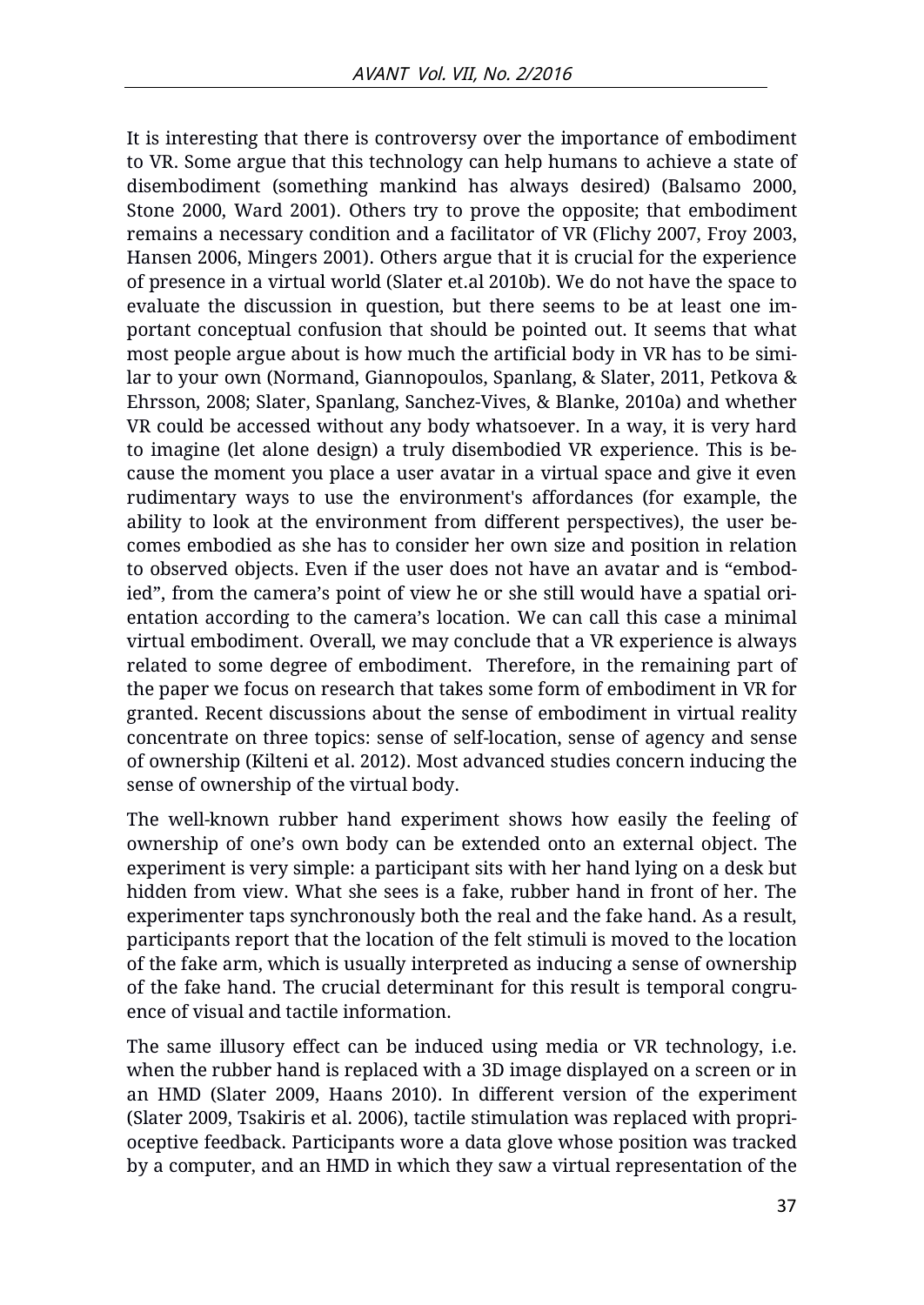It is interesting that there is controversy over the importance of embodiment to VR. Some argue that this technology can help humans to achieve a state of disembodiment (something mankind has always desired) (Balsamo 2000, Stone 2000, Ward 2001). Others try to prove the opposite; that embodiment remains a necessary condition and a facilitator of VR (Flichy 2007, Froy 2003, Hansen 2006, Mingers 2001). Others argue that it is crucial for the experience of presence in a virtual world (Slater et.al 2010b). We do not have the space to evaluate the discussion in question, but there seems to be at least one important conceptual confusion that should be pointed out. It seems that what most people argue about is how much the artificial body in VR has to be similar to your own (Normand, Giannopoulos, Spanlang, & Slater, 2011, Petkova & Ehrsson, 2008; Slater, Spanlang, Sanchez-Vives, & Blanke, 2010a) and whether VR could be accessed without any body whatsoever. In a way, it is very hard to imagine (let alone design) a truly disembodied VR experience. This is because the moment you place a user avatar in a virtual space and give it even rudimentary ways to use the environment's affordances (for example, the ability to look at the environment from different perspectives), the user becomes embodied as she has to consider her own size and position in relation to observed objects. Even if the user does not have an avatar and is "embodied", from the camera's point of view he or she still would have a spatial orientation according to the camera's location. We can call this case a minimal virtual embodiment. Overall, we may conclude that a VR experience is always related to some degree of embodiment. Therefore, in the remaining part of the paper we focus on research that takes some form of embodiment in VR for granted. Recent discussions about the sense of embodiment in virtual reality concentrate on three topics: sense of self-location, sense of agency and sense of ownership (Kilteni et al. 2012). Most advanced studies concern inducing the sense of ownership of the virtual body.

The well-known rubber hand experiment shows how easily the feeling of ownership of one's own body can be extended onto an external object. The experiment is very simple: a participant sits with her hand lying on a desk but hidden from view. What she sees is a fake, rubber hand in front of her. The experimenter taps synchronously both the real and the fake hand. As a result, participants report that the location of the felt stimuli is moved to the location of the fake arm, which is usually interpreted as inducing a sense of ownership of the fake hand. The crucial determinant for this result is temporal congruence of visual and tactile information.

The same illusory effect can be induced using media or VR technology, i.e. when the rubber hand is replaced with a 3D image displayed on a screen or in an HMD (Slater 2009, Haans 2010). In different version of the experiment (Slater 2009, Tsakiris et al. 2006), tactile stimulation was replaced with proprioceptive feedback. Participants wore a data glove whose position was tracked by a computer, and an HMD in which they saw a virtual representation of the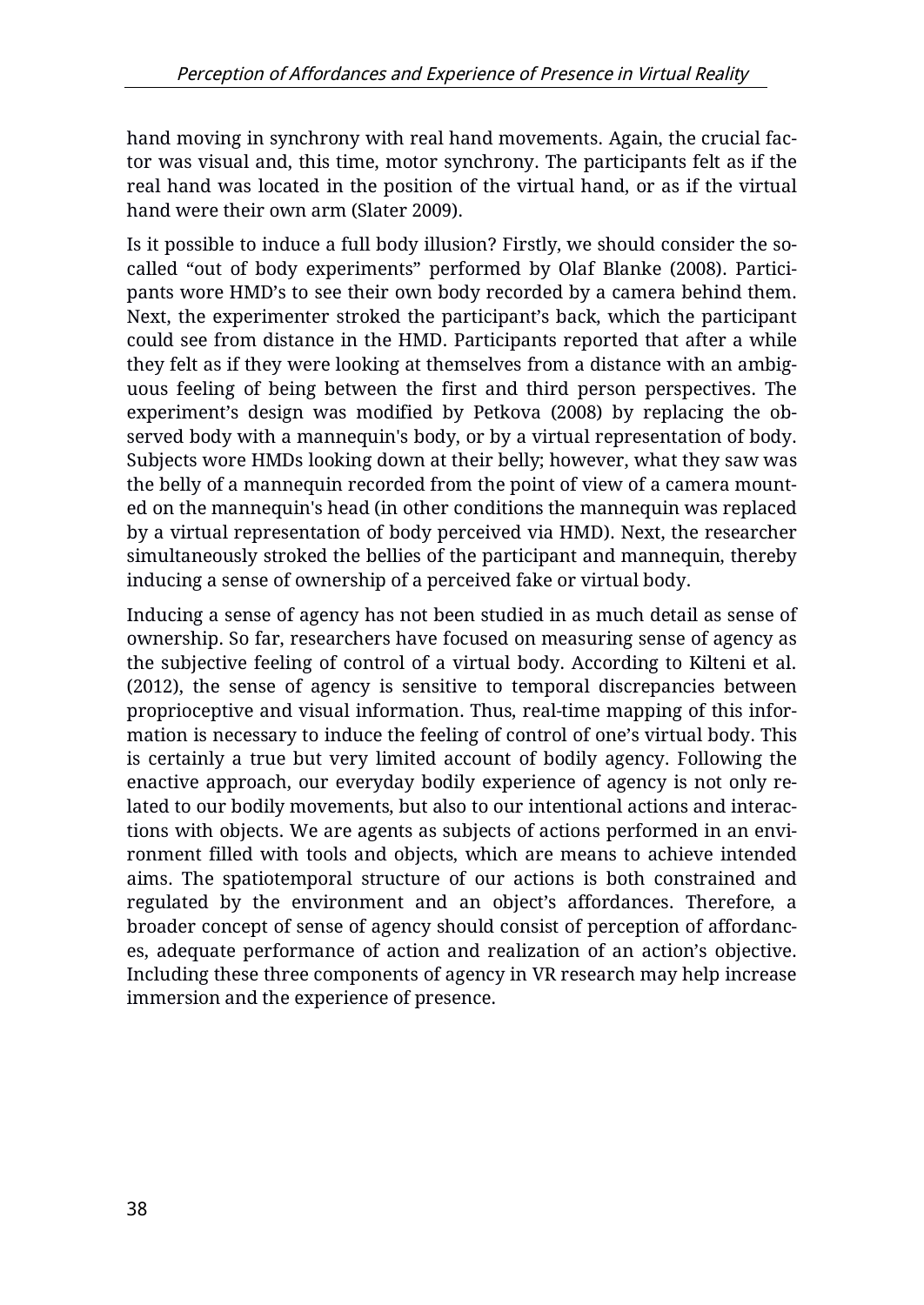hand moving in synchrony with real hand movements. Again, the crucial factor was visual and, this time, motor synchrony. The participants felt as if the real hand was located in the position of the virtual hand, or as if the virtual hand were their own arm (Slater 2009).

Is it possible to induce a full body illusion? Firstly, we should consider the socalled "out of body experiments" performed by Olaf Blanke (2008). Participants wore HMD's to see their own body recorded by a camera behind them. Next, the experimenter stroked the participant's back, which the participant could see from distance in the HMD. Participants reported that after a while they felt as if they were looking at themselves from a distance with an ambiguous feeling of being between the first and third person perspectives. The experiment's design was modified by Petkova (2008) by replacing the observed body with a mannequin's body, or by a virtual representation of body. Subjects wore HMDs looking down at their belly; however, what they saw was the belly of a mannequin recorded from the point of view of a camera mounted on the mannequin's head (in other conditions the mannequin was replaced by a virtual representation of body perceived via HMD). Next, the researcher simultaneously stroked the bellies of the participant and mannequin, thereby inducing a sense of ownership of a perceived fake or virtual body.

Inducing a sense of agency has not been studied in as much detail as sense of ownership. So far, researchers have focused on measuring sense of agency as the subjective feeling of control of a virtual body. According to Kilteni et al. (2012), the sense of agency is sensitive to temporal discrepancies between proprioceptive and visual information. Thus, real-time mapping of this information is necessary to induce the feeling of control of one's virtual body. This is certainly a true but very limited account of bodily agency. Following the enactive approach, our everyday bodily experience of agency is not only related to our bodily movements, but also to our intentional actions and interactions with objects. We are agents as subjects of actions performed in an environment filled with tools and objects, which are means to achieve intended aims. The spatiotemporal structure of our actions is both constrained and regulated by the environment and an object's affordances. Therefore, a broader concept of sense of agency should consist of perception of affordances, adequate performance of action and realization of an action's objective. Including these three components of agency in VR research may help increase immersion and the experience of presence.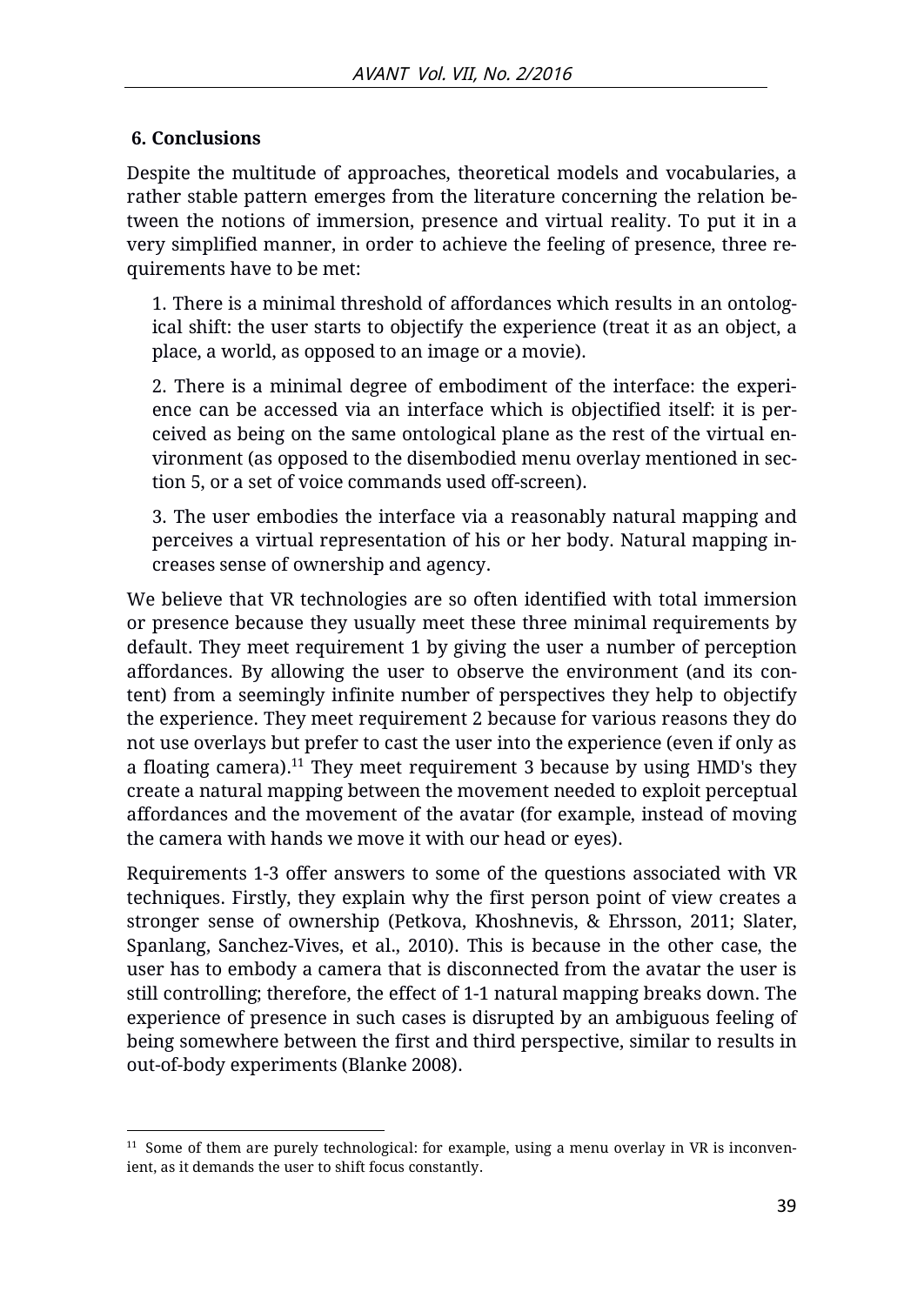#### **6. Conclusions**

Despite the multitude of approaches, theoretical models and vocabularies, a rather stable pattern emerges from the literature concerning the relation between the notions of immersion, presence and virtual reality. To put it in a very simplified manner, in order to achieve the feeling of presence, three requirements have to be met:

1. There is a minimal threshold of affordances which results in an ontological shift: the user starts to objectify the experience (treat it as an object, a place, a world, as opposed to an image or a movie).

2. There is a minimal degree of embodiment of the interface: the experience can be accessed via an interface which is objectified itself: it is perceived as being on the same ontological plane as the rest of the virtual environment (as opposed to the disembodied menu overlay mentioned in section 5, or a set of voice commands used off-screen).

3. The user embodies the interface via a reasonably natural mapping and perceives a virtual representation of his or her body. Natural mapping increases sense of ownership and agency.

We believe that VR technologies are so often identified with total immersion or presence because they usually meet these three minimal requirements by default. They meet requirement 1 by giving the user a number of perception affordances. By allowing the user to observe the environment (and its content) from a seemingly infinite number of perspectives they help to objectify the experience. They meet requirement 2 because for various reasons they do not use overlays but prefer to cast the user into the experience (even if only as a floating camera).<sup>11</sup> They meet requirement 3 because by using  $HMD's$  they create a natural mapping between the movement needed to exploit perceptual affordances and the movement of the avatar (for example, instead of moving the camera with hands we move it with our head or eyes).

Requirements 1-3 offer answers to some of the questions associated with VR techniques. Firstly, they explain why the first person point of view creates a stronger sense of ownership (Petkova, Khoshnevis, & Ehrsson, 2011; Slater, Spanlang, Sanchez-Vives, et al., 2010). This is because in the other case, the user has to embody a camera that is disconnected from the avatar the user is still controlling; therefore, the effect of 1-1 natural mapping breaks down. The experience of presence in such cases is disrupted by an ambiguous feeling of being somewhere between the first and third perspective, similar to results in out-of-body experiments (Blanke 2008).

 $\overline{a}$  $11$  Some of them are purely technological: for example, using a menu overlay in VR is inconvenient, as it demands the user to shift focus constantly.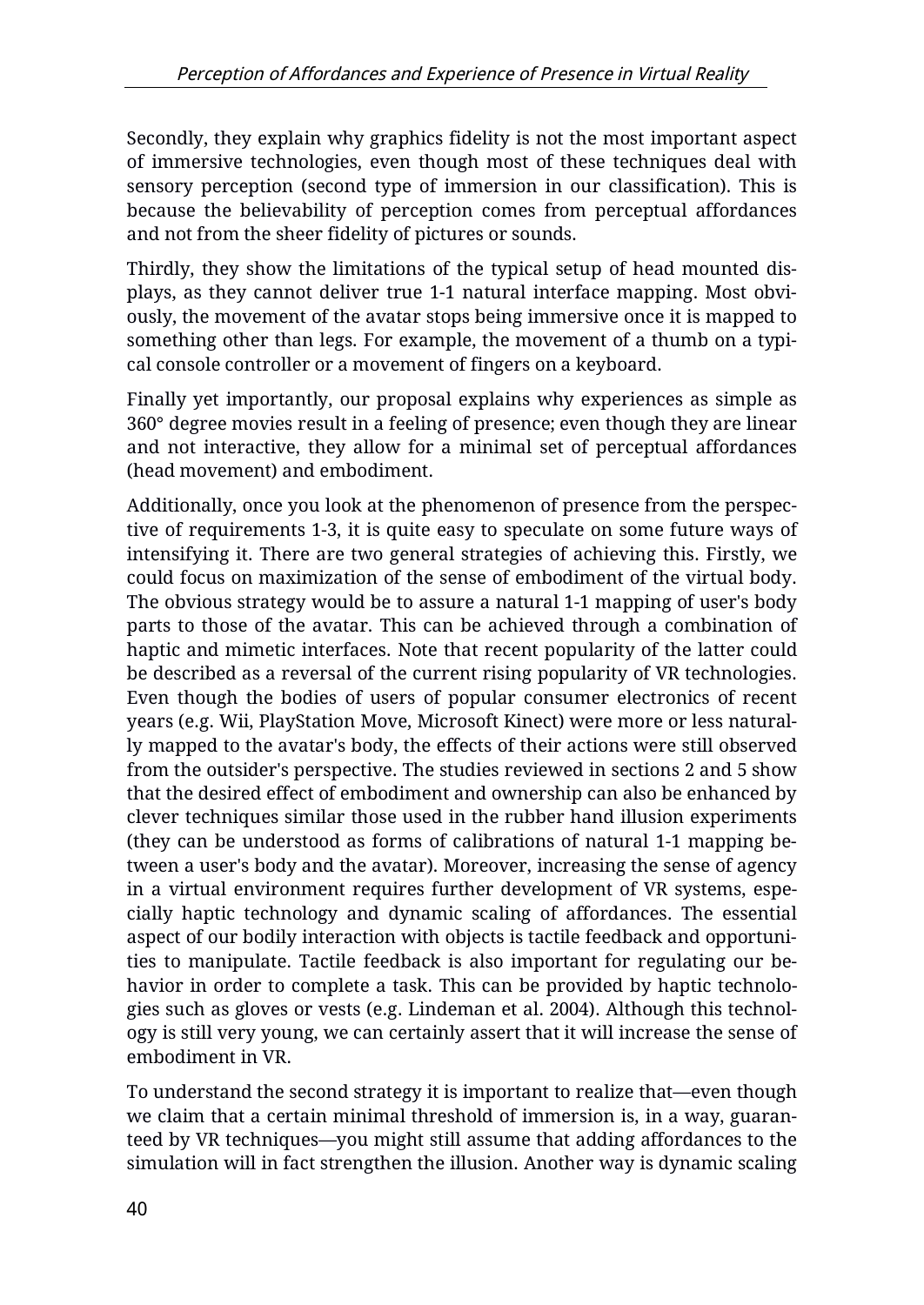Secondly, they explain why graphics fidelity is not the most important aspect of immersive technologies, even though most of these techniques deal with sensory perception (second type of immersion in our classification). This is because the believability of perception comes from perceptual affordances and not from the sheer fidelity of pictures or sounds.

Thirdly, they show the limitations of the typical setup of head mounted displays, as they cannot deliver true 1-1 natural interface mapping. Most obviously, the movement of the avatar stops being immersive once it is mapped to something other than legs. For example, the movement of a thumb on a typical console controller or a movement of fingers on a keyboard.

Finally yet importantly, our proposal explains why experiences as simple as 360° degree movies result in a feeling of presence; even though they are linear and not interactive, they allow for a minimal set of perceptual affordances (head movement) and embodiment.

Additionally, once you look at the phenomenon of presence from the perspective of requirements 1-3, it is quite easy to speculate on some future ways of intensifying it. There are two general strategies of achieving this. Firstly, we could focus on maximization of the sense of embodiment of the virtual body. The obvious strategy would be to assure a natural 1-1 mapping of user's body parts to those of the avatar. This can be achieved through a combination of haptic and mimetic interfaces. Note that recent popularity of the latter could be described as a reversal of the current rising popularity of VR technologies. Even though the bodies of users of popular consumer electronics of recent years (e.g. Wii, PlayStation Move, Microsoft Kinect) were more or less naturally mapped to the avatar's body, the effects of their actions were still observed from the outsider's perspective. The studies reviewed in sections 2 and 5 show that the desired effect of embodiment and ownership can also be enhanced by clever techniques similar those used in the rubber hand illusion experiments (they can be understood as forms of calibrations of natural 1-1 mapping between a user's body and the avatar). Moreover, increasing the sense of agency in a virtual environment requires further development of VR systems, especially haptic technology and dynamic scaling of affordances. The essential aspect of our bodily interaction with objects is tactile feedback and opportunities to manipulate. Tactile feedback is also important for regulating our behavior in order to complete a task. This can be provided by haptic technologies such as gloves or vests (e.g. Lindeman et al. 2004). Although this technology is still very young, we can certainly assert that it will increase the sense of embodiment in VR.

To understand the second strategy it is important to realize that—even though we claim that a certain minimal threshold of immersion is, in a way, guaranteed by VR techniques—you might still assume that adding affordances to the simulation will in fact strengthen the illusion. Another way is dynamic scaling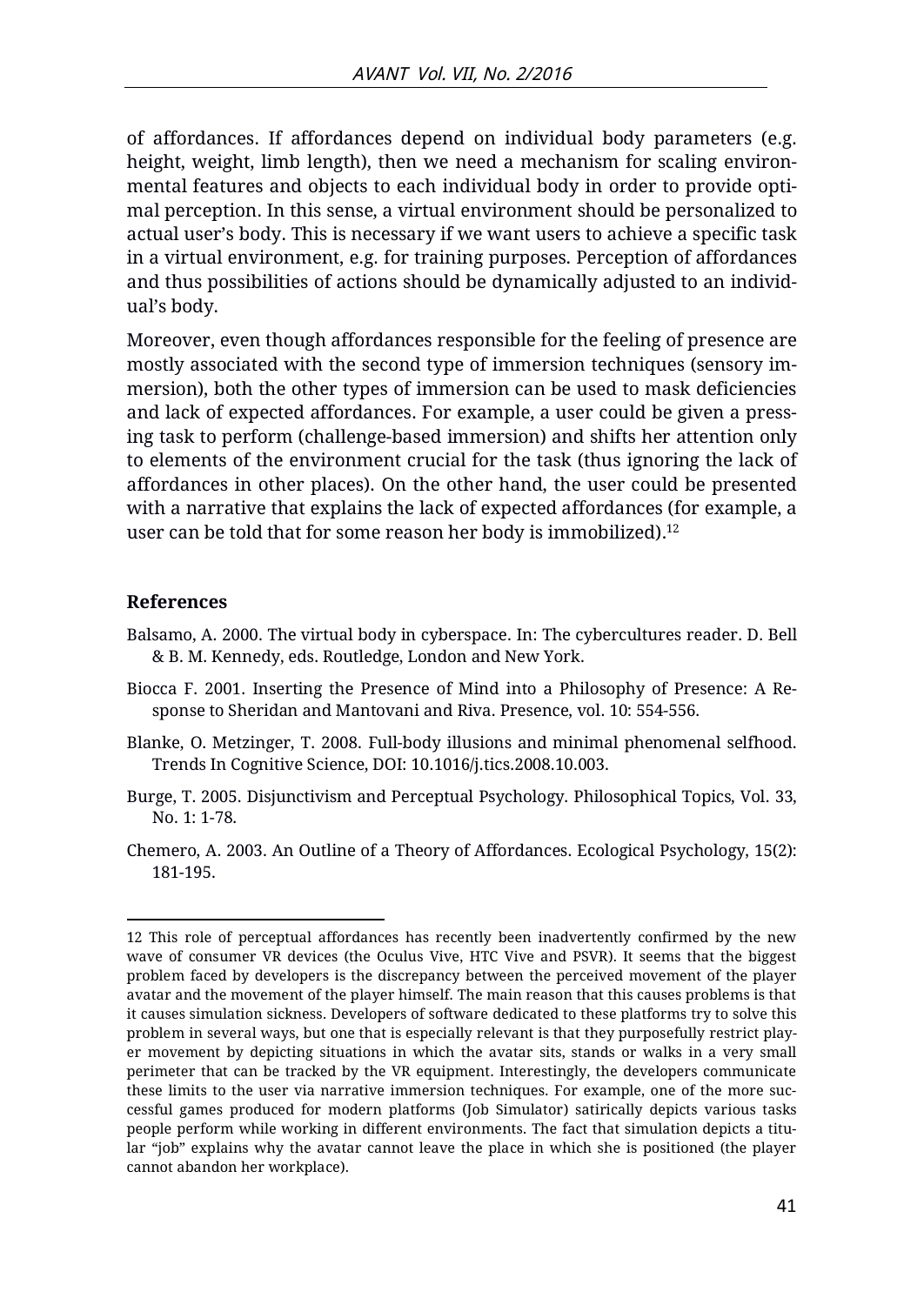of affordances. If affordances depend on individual body parameters (e.g. height, weight, limb length), then we need a mechanism for scaling environmental features and objects to each individual body in order to provide optimal perception. In this sense, a virtual environment should be personalized to actual user's body. This is necessary if we want users to achieve a specific task in a virtual environment, e.g. for training purposes. Perception of affordances and thus possibilities of actions should be dynamically adjusted to an individual's body.

Moreover, even though affordances responsible for the feeling of presence are mostly associated with the second type of immersion techniques (sensory immersion), both the other types of immersion can be used to mask deficiencies and lack of expected affordances. For example, a user could be given a pressing task to perform (challenge-based immersion) and shifts her attention only to elements of the environment crucial for the task (thus ignoring the lack of affordances in other places). On the other hand, the user could be presented with a narrative that explains the lack of expected affordances (for example, a user can be told that for some reason her body is immobilized). $12$ 

#### **References**

 $\overline{a}$ 

- Balsamo, A. 2000. The virtual body in cyberspace. In: The cybercultures reader. D. Bell & B. M. Kennedy, eds. Routledge, London and New York.
- Biocca F. 2001. Inserting the Presence of Mind into a Philosophy of Presence: A Response to Sheridan and Mantovani and Riva. Presence, vol. 10: 554-556.
- Blanke, O. Metzinger, T. 2008. Full-body illusions and minimal phenomenal selfhood. Trends In Cognitive Science, DOI: 10.1016/j.tics.2008.10.003.
- Burge, T. 2005. Disjunctivism and Perceptual Psychology. Philosophical Topics, Vol. 33, No. 1: 1-78.
- Chemero, A. 2003. An Outline of a Theory of Affordances. Ecological Psychology, 15(2): 181-195.

<sup>12</sup> This role of perceptual affordances has recently been inadvertently confirmed by the new wave of consumer VR devices (the Oculus Vive, HTC Vive and PSVR). It seems that the biggest problem faced by developers is the discrepancy between the perceived movement of the player avatar and the movement of the player himself. The main reason that this causes problems is that it causes simulation sickness. Developers of software dedicated to these platforms try to solve this problem in several ways, but one that is especially relevant is that they purposefully restrict player movement by depicting situations in which the avatar sits, stands or walks in a very small perimeter that can be tracked by the VR equipment. Interestingly, the developers communicate these limits to the user via narrative immersion techniques. For example, one of the more successful games produced for modern platforms (Job Simulator) satirically depicts various tasks people perform while working in different environments. The fact that simulation depicts a titular "job" explains why the avatar cannot leave the place in which she is positioned (the player cannot abandon her workplace).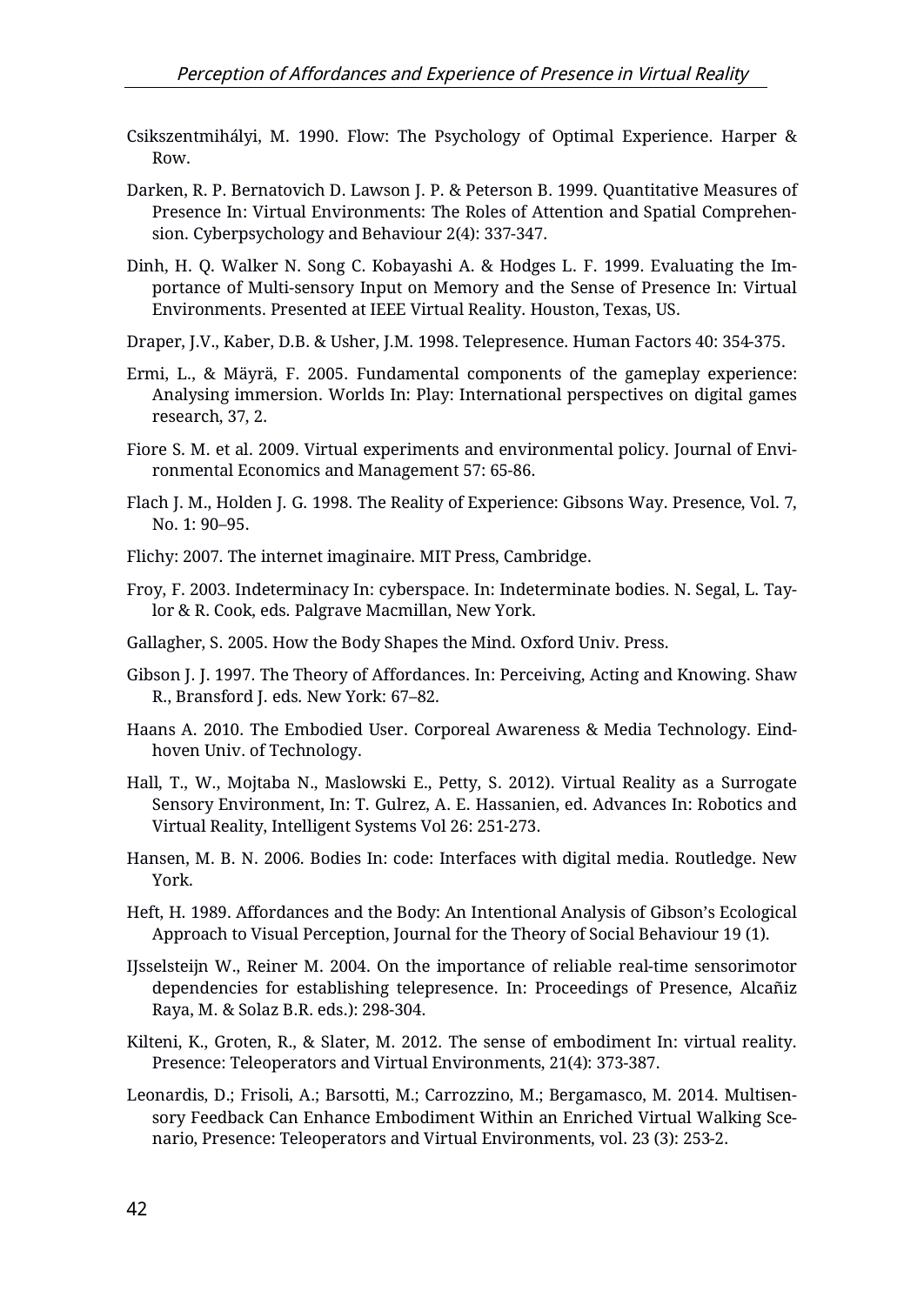- Csikszentmihályi, M. 1990. Flow: The Psychology of Optimal Experience. Harper & Row.
- Darken, R. P. Bernatovich D. Lawson J. P. & Peterson B. 1999. Quantitative Measures of Presence In: Virtual Environments: The Roles of Attention and Spatial Comprehension. Cyberpsychology and Behaviour 2(4): 337-347.
- Dinh, H. Q. Walker N. Song C. Kobayashi A. & Hodges L. F. 1999. Evaluating the Importance of Multi-sensory Input on Memory and the Sense of Presence In: Virtual Environments. Presented at IEEE Virtual Reality. Houston, Texas, US.
- Draper, J.V., Kaber, D.B. & Usher, J.M. 1998. Telepresence. Human Factors 40: 354-375.
- Ermi, L., & Mäyrä, F. 2005. Fundamental components of the gameplay experience: Analysing immersion. Worlds In: Play: International perspectives on digital games research, 37, 2.
- Fiore S. M. et al. 2009. Virtual experiments and environmental policy. Journal of Environmental Economics and Management 57: 65-86.
- Flach J. M., Holden J. G. 1998. The Reality of Experience: Gibsons Way. Presence, Vol. 7, No. 1: 90–95.
- Flichy: 2007. The internet imaginaire. MIT Press, Cambridge.
- Froy, F. 2003. Indeterminacy In: cyberspace. In: Indeterminate bodies. N. Segal, L. Taylor & R. Cook, eds. Palgrave Macmillan, New York.
- Gallagher, S. 2005. How the Body Shapes the Mind. Oxford Univ. Press.
- Gibson J. J. 1997. The Theory of Affordances. In: Perceiving, Acting and Knowing. Shaw R., Bransford J. eds. New York: 67–82.
- Haans A. 2010. The Embodied User. Corporeal Awareness & Media Technology. Eindhoven Univ. of Technology.
- Hall, T., W., Mojtaba N., Maslowski E., Petty, S. 2012). Virtual Reality as a Surrogate Sensory Environment, In: T. Gulrez, A. E. Hassanien, ed. Advances In: Robotics and Virtual Reality, Intelligent Systems Vol 26: 251-273.
- Hansen, M. B. N. 2006. Bodies In: code: Interfaces with digital media. Routledge. New York.
- Heft, H. 1989. Affordances and the Body: An Intentional Analysis of Gibson's Ecological Approach to Visual Perception, Journal for the Theory of Social Behaviour 19 (1).
- IJsselsteijn W., Reiner M. 2004. On the importance of reliable real-time sensorimotor dependencies for establishing telepresence. In: Proceedings of Presence, Alcañiz Raya, M. & Solaz B.R. eds.): 298-304.
- Kilteni, K., Groten, R., & Slater, M. 2012. The sense of embodiment In: virtual reality. Presence: Teleoperators and Virtual Environments, 21(4): 373-387.
- Leonardis, D.; Frisoli, A.; Barsotti, M.; Carrozzino, M.; Bergamasco, M. 2014. Multisensory Feedback Can Enhance Embodiment Within an Enriched Virtual Walking Scenario, Presence: Teleoperators and Virtual Environments, vol. 23 (3): 253-2.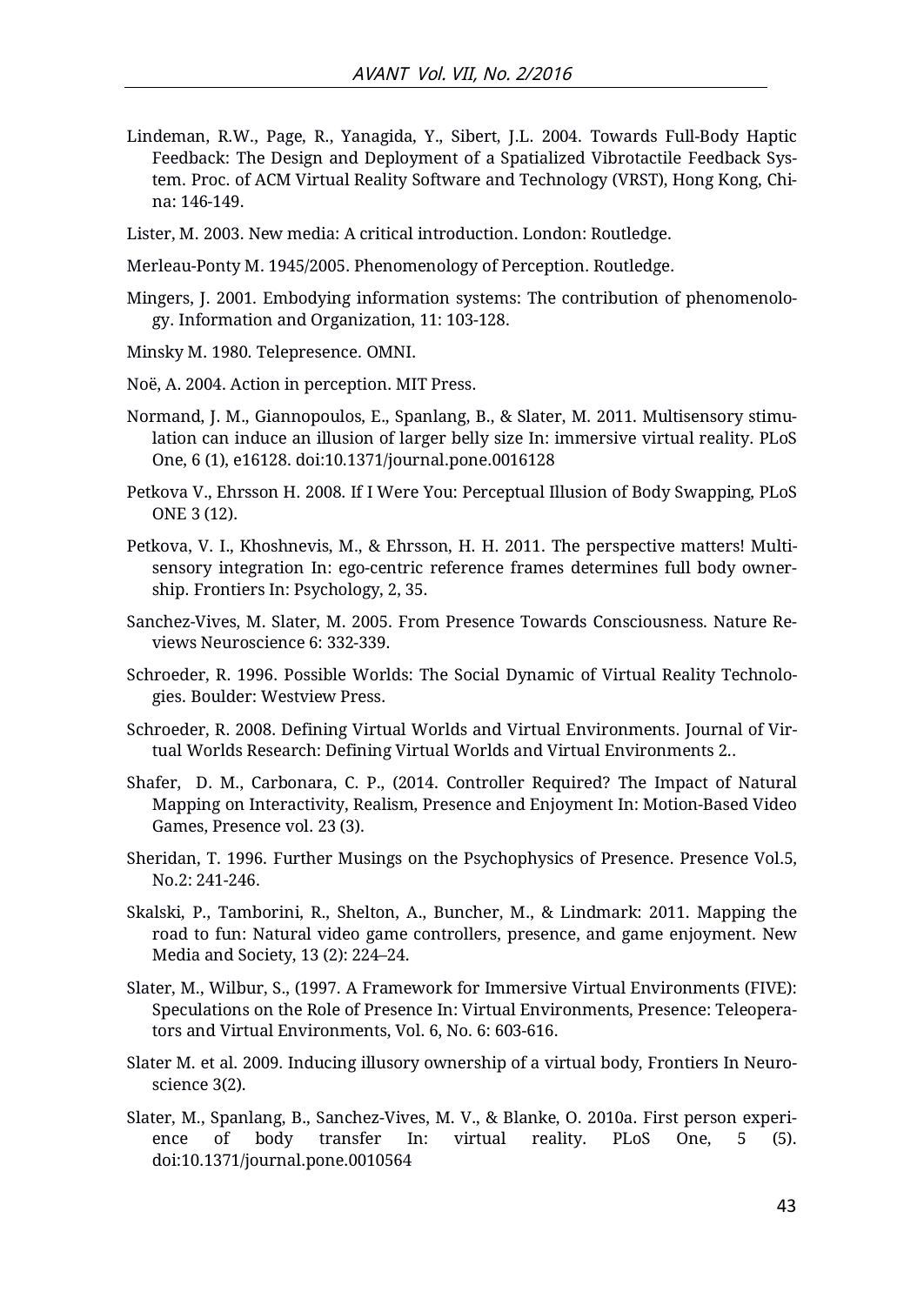Lindeman, R.W., Page, R., Yanagida, Y., Sibert, J.L. 2004. Towards Full-Body Haptic Feedback: The Design and Deployment of a Spatialized Vibrotactile Feedback System. Proc. of ACM Virtual Reality Software and Technology (VRST), Hong Kong, China: 146-149.

Lister, M. 2003. New media: A critical introduction. London: Routledge.

Merleau-Ponty M. 1945/2005. Phenomenology of Perception. Routledge.

- Mingers, J. 2001. Embodying information systems: The contribution of phenomenology. Information and Organization, 11: 103-128.
- Minsky M. 1980. Telepresence. OMNI.
- Noë, A. 2004. Action in perception. MIT Press.
- Normand, J. M., Giannopoulos, E., Spanlang, B., & Slater, M. 2011. Multisensory stimulation can induce an illusion of larger belly size In: immersive virtual reality. PLoS One, 6 (1), e16128. doi:10.1371/journal.pone.0016128
- Petkova V., Ehrsson H. 2008. If I Were You: Perceptual Illusion of Body Swapping, PLoS ONE 3 (12).
- Petkova, V. I., Khoshnevis, M., & Ehrsson, H. H. 2011. The perspective matters! Multisensory integration In: ego-centric reference frames determines full body ownership. Frontiers In: Psychology, 2, 35.
- Sanchez-Vives, M. Slater, M. 2005. From Presence Towards Consciousness. Nature Reviews Neuroscience 6: 332-339.
- Schroeder, R. 1996. Possible Worlds: The Social Dynamic of Virtual Reality Technologies. Boulder: Westview Press.
- Schroeder, R. 2008. Defining Virtual Worlds and Virtual Environments. Journal of Virtual Worlds Research: Defining Virtual Worlds and Virtual Environments 2..
- Shafer, D. M., Carbonara, C. P., (2014. Controller Required? The Impact of Natural Mapping on Interactivity, Realism, Presence and Enjoyment In: Motion-Based Video Games, Presence vol. 23 (3).
- Sheridan, T. 1996. Further Musings on the Psychophysics of Presence. Presence Vol.5, No.2: 241-246.
- Skalski, P., Tamborini, R., Shelton, A., Buncher, M., & Lindmark: 2011. Mapping the road to fun: Natural video game controllers, presence, and game enjoyment. New Media and Society, 13 (2): 224–24.
- Slater, M., Wilbur, S., (1997. A Framework for Immersive Virtual Environments (FIVE): Speculations on the Role of Presence In: Virtual Environments, Presence: Teleoperators and Virtual Environments, Vol. 6, No. 6: 603-616.
- Slater M. et al. 2009. Inducing illusory ownership of a virtual body, Frontiers In Neuroscience 3(2).
- Slater, M., Spanlang, B., Sanchez-Vives, M. V., & Blanke, O. 2010a. First person experience of body transfer In: virtual reality. PLoS One, 5 (5). doi:10.1371/journal.pone.0010564